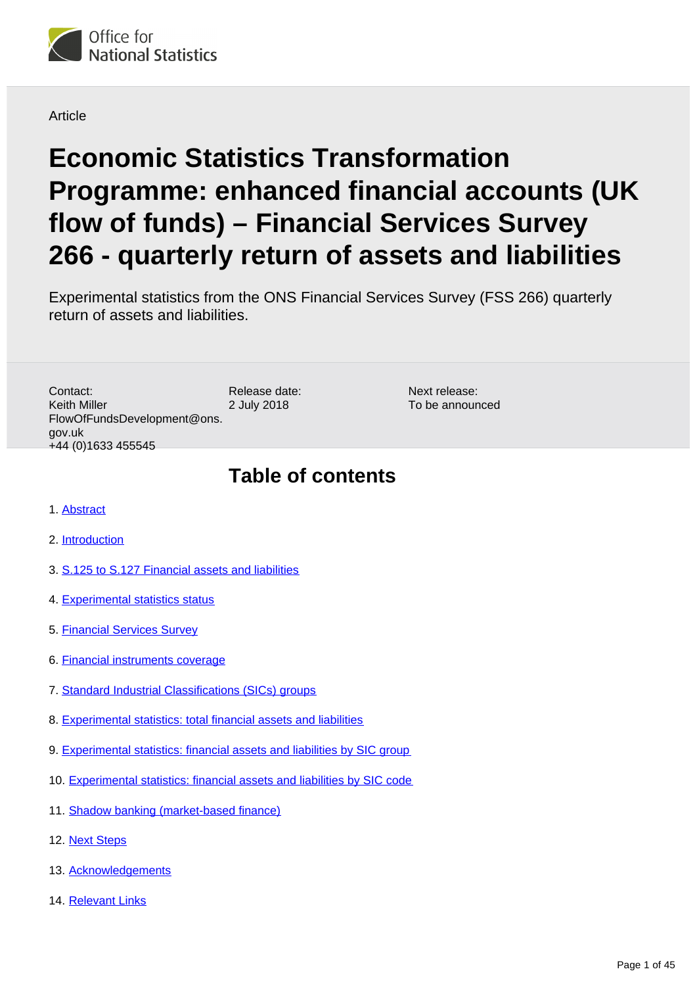

**Article** 

# **Economic Statistics Transformation Programme: enhanced financial accounts (UK flow of funds) – Financial Services Survey 266 - quarterly return of assets and liabilities**

Experimental statistics from the ONS Financial Services Survey (FSS 266) quarterly return of assets and liabilities.

Release date: 2 July 2018 Contact: Keith Miller FlowOfFundsDevelopment@ons. gov.uk +44 (0)1633 455545

Next release: To be announced

## **Table of contents**

- 1. [Abstract](#page-1-0)
- 2. [Introduction](#page-1-1)
- 3. [S.125 to S.127 Financial assets and liabilities](#page-3-0)
- 4. [Experimental statistics status](#page-5-0)
- 5. [Financial Services Survey](#page-7-0)
- 6. [Financial instruments coverage](#page-10-0)
- 7. [Standard Industrial Classifications \(SICs\) groups](#page-11-0)
- 8. [Experimental statistics: total financial assets and liabilities](#page-15-0)
- 9. [Experimental statistics: financial assets and liabilities by SIC group](#page-33-0)
- 10. [Experimental statistics: financial assets and liabilities by SIC code](#page-35-0)
- 11. [Shadow banking \(market-based finance\)](#page-37-0)
- 12. [Next Steps](#page-40-0)
- 13. [Acknowledgements](#page-42-0)
- 14. [Relevant Links](#page-42-1)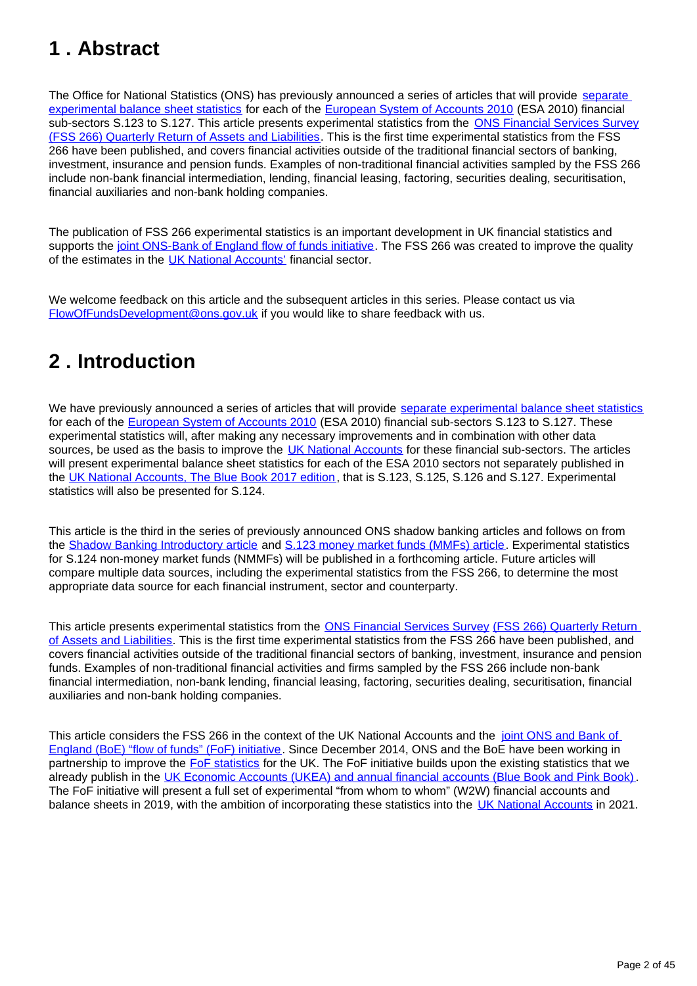## <span id="page-1-0"></span>**1 . Abstract**

The Office for National Statistics (ONS) has previously announced a series of articles that will provide separate [experimental balance sheet statistics](https://www.ons.gov.uk/economy/nationalaccounts/uksectoraccounts/articles/economicstatisticstransformationprogrammeenhancedfinancialaccountsukflowoffundsshadowbankingintroductoryarticle/2018-05-01) for each of the [European System of Accounts 2010](http://ec.europa.eu/eurostat/web/esa-2010) (ESA 2010) financial sub-sectors S.123 to S.127. This article presents experimental statistics from the [ONS Financial Services Survey](https://www.ons.gov.uk/surveys/informationforbusinesses/businesssurveys/financialservicessurvey) [\(FSS 266\) Quarterly Return of Assets and Liabilities.](http://webarchive.nationalarchives.gov.uk/20160106035949/http:/www.ons.gov.uk/ons/rel/naa1-rd/national-accounts-articles/redevelopment-of-the-financial-services-and-securities-dealers-surveys/index.html) This is the first time experimental statistics from the FSS 266 have been published, and covers financial activities outside of the traditional financial sectors of banking, investment, insurance and pension funds. Examples of non-traditional financial activities sampled by the FSS 266 include non-bank financial intermediation, lending, financial leasing, factoring, securities dealing, securitisation, financial auxiliaries and non-bank holding companies.

The publication of FSS 266 experimental statistics is an important development in UK financial statistics and supports the [joint ONS-Bank of England flow of funds initiative](http://webarchive.nationalarchives.gov.uk/20160106021630/http:/www.ons.gov.uk/ons/guide-method/method-quality/specific/economy/national-accounts/changes-to-national-accounts/flow-of-funds--fof-/index.html). The FSS 266 was created to improve the quality of the estimates in the [UK National Accounts'](https://www.ons.gov.uk/releases/uknationalaccountsthebluebook2017) financial sector.

We welcome feedback on this article and the subsequent articles in this series. Please contact us via FlowOfFundsDevelopment@ons.gov.uk if you would like to share feedback with us.

## <span id="page-1-1"></span>**2 . Introduction**

We have previously announced a series of articles that will provide [separate experimental balance sheet statistics](https://www.ons.gov.uk/economy/nationalaccounts/uksectoraccounts/articles/economicstatisticstransformationprogrammeenhancedfinancialaccountsukflowoffundsshadowbankingintroductoryarticle/2018-05-01) for each of the [European System of Accounts 2010](http://ec.europa.eu/eurostat/web/esa-2010) (ESA 2010) financial sub-sectors S.123 to S.127. These experimental statistics will, after making any necessary improvements and in combination with other data sources, be used as the basis to improve the [UK National Accounts](https://www.ons.gov.uk/releases/uknationalaccountsthebluebook2017) for these financial sub-sectors. The articles will present experimental balance sheet statistics for each of the ESA 2010 sectors not separately published in the [UK National Accounts, The Blue Book 2017 edition,](https://www.ons.gov.uk/releases/uknationalaccountsthebluebook2017) that is S.123, S.125, S.126 and S.127. Experimental statistics will also be presented for S.124.

This article is the third in the series of previously announced ONS shadow banking articles and follows on from the [Shadow Banking Introductory article](https://www.ons.gov.uk/economy/nationalaccounts/uksectoraccounts/articles/economicstatisticstransformationprogrammeenhancedfinancialaccountsukflowoffundsshadowbankingintroductoryarticle/2018-05-01) and [S.123 money market funds \(MMFs\) article](https://www.ons.gov.uk/economy/nationalaccounts/uksectoraccounts/articles/economicstatisticstransformationprogrammeenhancedfinancialaccountsukflowoffundsshadowbankingmoneymarketfunds/2018-05-08). Experimental statistics for S.124 non-money market funds (NMMFs) will be published in a forthcoming article. Future articles will compare multiple data sources, including the experimental statistics from the FSS 266, to determine the most appropriate data source for each financial instrument, sector and counterparty.

This article presents experimental statistics from the [ONS Financial Services Survey](https://www.ons.gov.uk/surveys/informationforbusinesses/businesssurveys/financialservicessurvey) (FSS 266) Quarterly Return [of Assets and Liabilities](http://webarchive.nationalarchives.gov.uk/20160106035949/http:/www.ons.gov.uk/ons/rel/naa1-rd/national-accounts-articles/redevelopment-of-the-financial-services-and-securities-dealers-surveys/index.html). This is the first time experimental statistics from the FSS 266 have been published, and covers financial activities outside of the traditional financial sectors of banking, investment, insurance and pension funds. Examples of non-traditional financial activities and firms sampled by the FSS 266 include non-bank financial intermediation, non-bank lending, financial leasing, factoring, securities dealing, securitisation, financial auxiliaries and non-bank holding companies.

This article considers the FSS 266 in the context of the UK National Accounts and the joint ONS and Bank of [England \(BoE\) "flow of funds" \(FoF\) initiative.](http://webarchive.nationalarchives.gov.uk/20160106021630/http:/www.ons.gov.uk/ons/guide-method/method-quality/specific/economy/national-accounts/changes-to-national-accounts/flow-of-funds--fof-/index.html) Since December 2014, ONS and the BoE have been working in partnership to improve the [FoF statistics](http://webarchive.nationalarchives.gov.uk/20160106021630/http:/www.ons.gov.uk/ons/guide-method/method-quality/specific/economy/national-accounts/changes-to-national-accounts/flow-of-funds--fof-/index.html) for the UK. The FoF initiative builds upon the existing statistics that we already publish in the [UK Economic Accounts \(UKEA\) and annual financial accounts \(Blue Book and Pink Book\)](https://www.ons.gov.uk/economy/grossdomesticproductgdp/datasets/unitedkingdomeconomicaccounts). The FoF initiative will present a full set of experimental "from whom to whom" (W2W) financial accounts and balance sheets in 2019, with the ambition of incorporating these statistics into the [UK National Accounts](https://www.ons.gov.uk/releases/uknationalaccountsthebluebook2017) in 2021.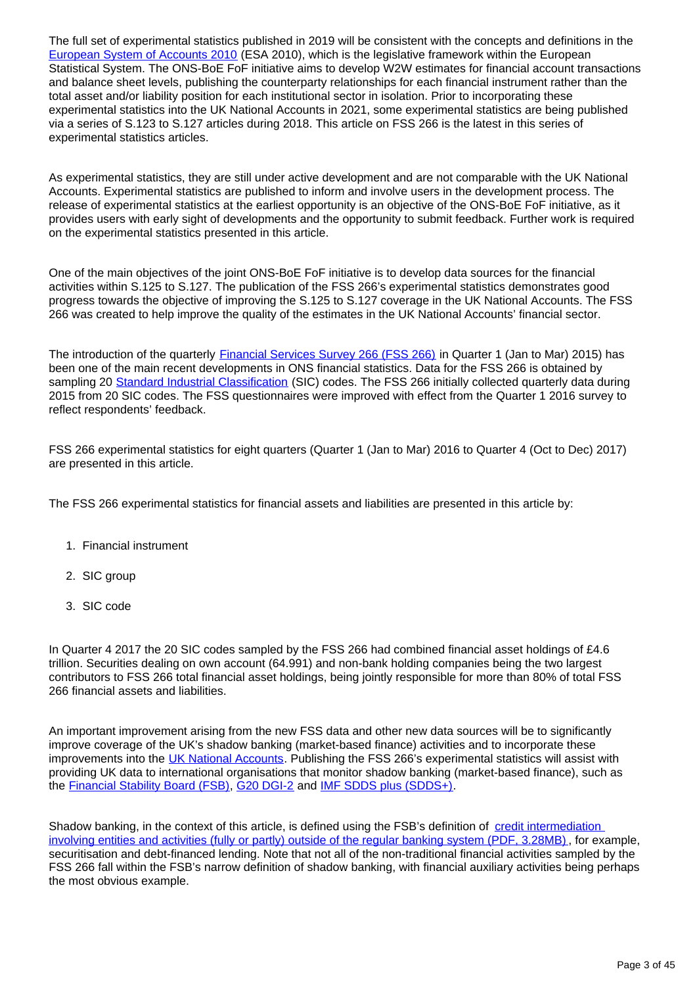The full set of experimental statistics published in 2019 will be consistent with the concepts and definitions in the [European System of Accounts 2010](http://ec.europa.eu/eurostat/web/esa-2010) (ESA 2010), which is the legislative framework within the European Statistical System. The ONS-BoE FoF initiative aims to develop W2W estimates for financial account transactions and balance sheet levels, publishing the counterparty relationships for each financial instrument rather than the total asset and/or liability position for each institutional sector in isolation. Prior to incorporating these experimental statistics into the UK National Accounts in 2021, some experimental statistics are being published via a series of S.123 to S.127 articles during 2018. This article on FSS 266 is the latest in this series of experimental statistics articles.

As experimental statistics, they are still under active development and are not comparable with the UK National Accounts. Experimental statistics are published to inform and involve users in the development process. The release of experimental statistics at the earliest opportunity is an objective of the ONS-BoE FoF initiative, as it provides users with early sight of developments and the opportunity to submit feedback. Further work is required on the experimental statistics presented in this article.

One of the main objectives of the joint ONS-BoE FoF initiative is to develop data sources for the financial activities within S.125 to S.127. The publication of the FSS 266's experimental statistics demonstrates good progress towards the objective of improving the S.125 to S.127 coverage in the UK National Accounts. The FSS 266 was created to help improve the quality of the estimates in the UK National Accounts' financial sector.

The introduction of the quarterly [Financial Services Survey 266 \(FSS 266\)](https://www.ons.gov.uk/surveys/informationforbusinesses/businesssurveys/financialservicessurvey) in Quarter 1 (Jan to Mar) 2015) has been one of the main recent developments in ONS financial statistics. Data for the FSS 266 is obtained by sampling 20 [Standard Industrial Classification](https://www.ons.gov.uk/methodology/classificationsandstandards/ukstandardindustrialclassificationofeconomicactivities/uksic2007) (SIC) codes. The FSS 266 initially collected quarterly data during 2015 from 20 SIC codes. The FSS questionnaires were improved with effect from the Quarter 1 2016 survey to reflect respondents' feedback.

FSS 266 experimental statistics for eight quarters (Quarter 1 (Jan to Mar) 2016 to Quarter 4 (Oct to Dec) 2017) are presented in this article.

The FSS 266 experimental statistics for financial assets and liabilities are presented in this article by:

- 1. Financial instrument
- 2. SIC group
- 3. SIC code

In Quarter 4 2017 the 20 SIC codes sampled by the FSS 266 had combined financial asset holdings of £4.6 trillion. Securities dealing on own account (64.991) and non-bank holding companies being the two largest contributors to FSS 266 total financial asset holdings, being jointly responsible for more than 80% of total FSS 266 financial assets and liabilities.

An important improvement arising from the new FSS data and other new data sources will be to significantly improve coverage of the UK's shadow banking (market-based finance) activities and to incorporate these improvements into the [UK National Accounts.](https://www.ons.gov.uk/releases/uknationalaccountsthebluebook2017) Publishing the FSS 266's experimental statistics will assist with providing UK data to international organisations that monitor shadow banking (market-based finance), such as the [Financial Stability Board \(FSB\)](http://www.fsb.org/2018/03/global-shadow-banking-monitoring-report-2017/), [G20 DGI-2](http://www.imf.org/external/np/seminars/eng/dgi/index.htm) and [IMF SDDS plus \(SDDS+\)](https://dsbb.imf.org/).

Shadow banking, in the context of this article, is defined using the FSB's definition of credit intermediation [involving entities and activities \(fully or partly\) outside of the regular banking system \(PDF, 3.28MB\)](http://www.fsb.org/wp-content/uploads/P050318-1.pdf) , for example, securitisation and debt-financed lending. Note that not all of the non-traditional financial activities sampled by the FSS 266 fall within the FSB's narrow definition of shadow banking, with financial auxiliary activities being perhaps the most obvious example.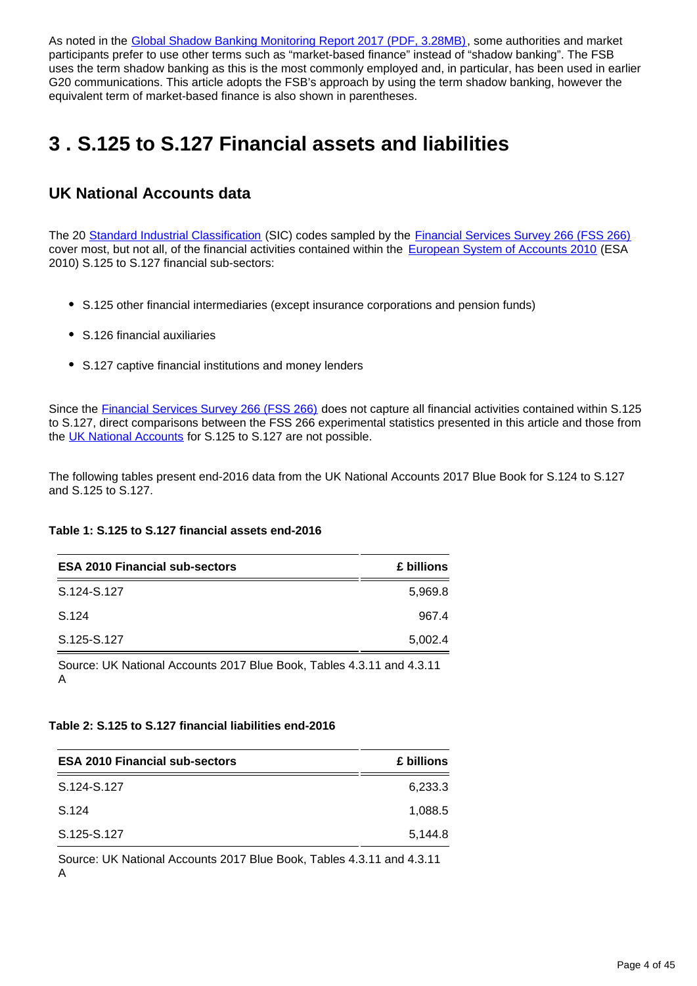As noted in the [Global Shadow Banking Monitoring Report 2017 \(PDF, 3.28MB\)](http://www.fsb.org/wp-content/uploads/P050318-1.pdf), some authorities and market participants prefer to use other terms such as "market-based finance" instead of "shadow banking". The FSB uses the term shadow banking as this is the most commonly employed and, in particular, has been used in earlier G20 communications. This article adopts the FSB's approach by using the term shadow banking, however the equivalent term of market-based finance is also shown in parentheses.

## <span id="page-3-0"></span>**3 . S.125 to S.127 Financial assets and liabilities**

### **UK National Accounts data**

The 20 [Standard Industrial Classification](https://www.ons.gov.uk/methodology/classificationsandstandards/ukstandardindustrialclassificationofeconomicactivities/uksic2007) (SIC) codes sampled by the [Financial Services Survey 266 \(FSS 266\)](https://www.ons.gov.uk/surveys/informationforbusinesses/businesssurveys/financialservicessurvey) cover most, but not all, of the financial activities contained within the [European System of Accounts 2010](http://ec.europa.eu/eurostat/web/esa-2010) (ESA 2010) S.125 to S.127 financial sub-sectors:

- S.125 other financial intermediaries (except insurance corporations and pension funds)
- S.126 financial auxiliaries
- S.127 captive financial institutions and money lenders

Since the [Financial Services Survey 266 \(FSS 266\)](https://www.ons.gov.uk/surveys/informationforbusinesses/businesssurveys/financialservicessurvey) does not capture all financial activities contained within S.125 to S.127, direct comparisons between the FSS 266 experimental statistics presented in this article and those from the [UK National Accounts](https://www.ons.gov.uk/releases/uknationalaccountsthebluebook2017) for S.125 to S.127 are not possible.

The following tables present end-2016 data from the UK National Accounts 2017 Blue Book for S.124 to S.127 and S.125 to S.127.

#### **Table 1: S.125 to S.127 financial assets end-2016**

| <b>ESA 2010 Financial sub-sectors</b> | £ billions |
|---------------------------------------|------------|
| S.124-S.127                           | 5,969.8    |
| S.124                                 | 967.4      |
| S.125-S.127                           | 5,002.4    |

Source: UK National Accounts 2017 Blue Book, Tables 4.3.11 and 4.3.11 A

#### **Table 2: S.125 to S.127 financial liabilities end-2016**

| <b>ESA 2010 Financial sub-sectors</b> | £ billions |
|---------------------------------------|------------|
| S.124-S.127                           | 6,233.3    |
| S.124                                 | 1.088.5    |
| S.125-S.127                           | 5,144.8    |
|                                       |            |

Source: UK National Accounts 2017 Blue Book, Tables 4.3.11 and 4.3.11 A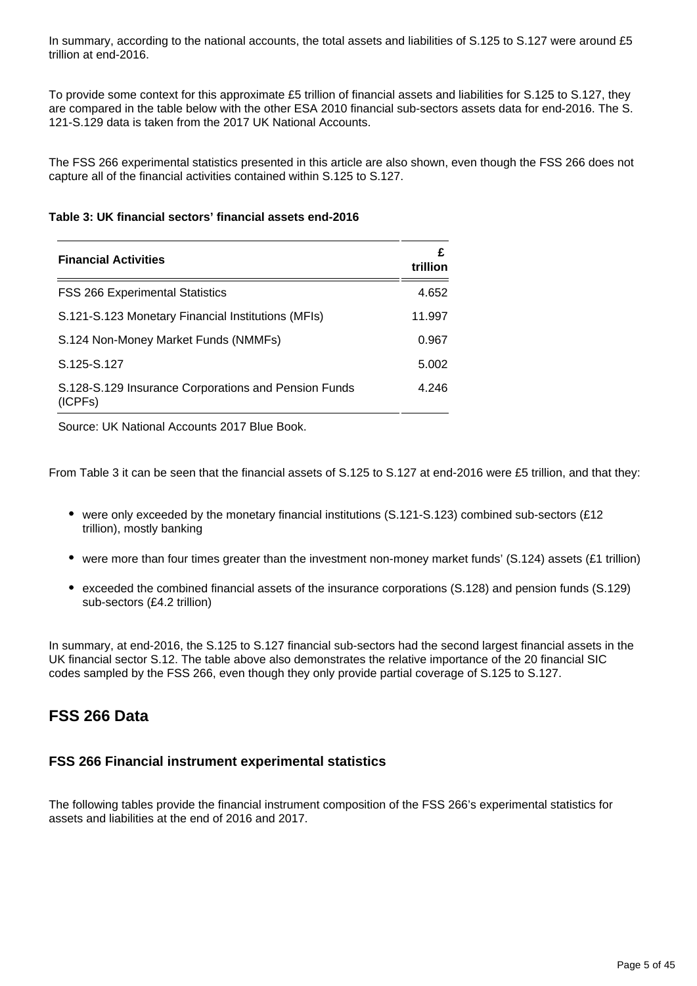In summary, according to the national accounts, the total assets and liabilities of S.125 to S.127 were around £5 trillion at end-2016.

To provide some context for this approximate £5 trillion of financial assets and liabilities for S.125 to S.127, they are compared in the table below with the other ESA 2010 financial sub-sectors assets data for end-2016. The S. 121-S.129 data is taken from the 2017 UK National Accounts.

The FSS 266 experimental statistics presented in this article are also shown, even though the FSS 266 does not capture all of the financial activities contained within S.125 to S.127.

#### **Table 3: UK financial sectors' financial assets end-2016**

| <b>Financial Activities</b>                                     | £<br>trillion |
|-----------------------------------------------------------------|---------------|
| <b>FSS 266 Experimental Statistics</b>                          | 4.652         |
| S.121-S.123 Monetary Financial Institutions (MFIs)              | 11.997        |
| S.124 Non-Money Market Funds (NMMFs)                            | 0.967         |
| S.125-S.127                                                     | 5.002         |
| S.128-S.129 Insurance Corporations and Pension Funds<br>(ICPFs) | 4.246         |

Source: UK National Accounts 2017 Blue Book.

From Table 3 it can be seen that the financial assets of S.125 to S.127 at end-2016 were £5 trillion, and that they:

- were only exceeded by the monetary financial institutions (S.121-S.123) combined sub-sectors (£12 trillion), mostly banking
- were more than four times greater than the investment non-money market funds' (S.124) assets (£1 trillion)
- exceeded the combined financial assets of the insurance corporations (S.128) and pension funds (S.129) sub-sectors (£4.2 trillion)

In summary, at end-2016, the S.125 to S.127 financial sub-sectors had the second largest financial assets in the UK financial sector S.12. The table above also demonstrates the relative importance of the 20 financial SIC codes sampled by the FSS 266, even though they only provide partial coverage of S.125 to S.127.

### **FSS 266 Data**

#### **FSS 266 Financial instrument experimental statistics**

The following tables provide the financial instrument composition of the FSS 266's experimental statistics for assets and liabilities at the end of 2016 and 2017.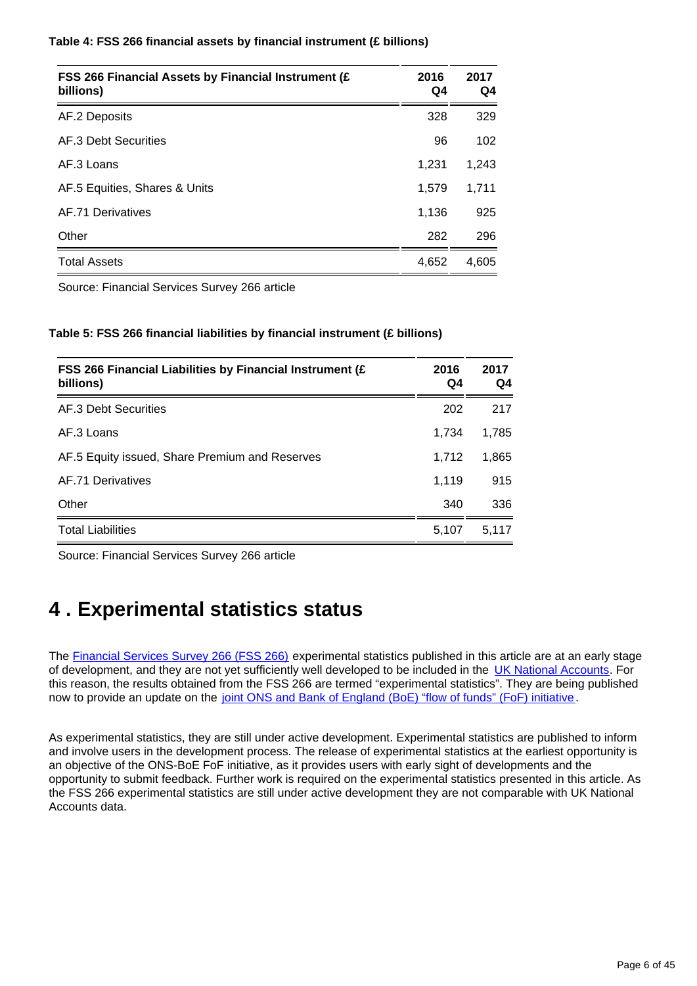| Table 4: FSS 266 financial assets by financial instrument (£ billions) |  |  |  |
|------------------------------------------------------------------------|--|--|--|
|------------------------------------------------------------------------|--|--|--|

| FSS 266 Financial Assets by Financial Instrument (£<br>billions) | 2016<br>Q4 | 2017<br>Q4 |
|------------------------------------------------------------------|------------|------------|
| AF.2 Deposits                                                    | 328        | 329        |
| AF.3 Debt Securities                                             | 96         | 102        |
| AF.3 Loans                                                       | 1.231      | 1,243      |
| AF.5 Equities, Shares & Units                                    | 1,579      | 1,711      |
| AF.71 Derivatives                                                | 1,136      | 925        |
| Other                                                            | 282        | 296        |
| <b>Total Assets</b>                                              | 4,652      | 4,605      |

Source: Financial Services Survey 266 article

#### **Table 5: FSS 266 financial liabilities by financial instrument (£ billions)**

| FSS 266 Financial Liabilities by Financial Instrument (£<br>billions) | 2016<br>Q4 | 2017<br>Q4 |
|-----------------------------------------------------------------------|------------|------------|
| AF.3 Debt Securities                                                  | 202        | 217        |
| AF 3 Loans                                                            | 1,734      | 1,785      |
| AF.5 Equity issued, Share Premium and Reserves                        | 1,712      | 1,865      |
| AF.71 Derivatives                                                     | 1.119      | 915        |
| Other                                                                 | 340        | 336        |
| <b>Total Liabilities</b>                                              | 5.107      | 5.117      |

Source: Financial Services Survey 266 article

## <span id="page-5-0"></span>**4 . Experimental statistics status**

The [Financial Services Survey 266 \(FSS 266\)](https://www.ons.gov.uk/surveys/informationforbusinesses/businesssurveys/financialservicessurvey) experimental statistics published in this article are at an early stage of development, and they are not yet sufficiently well developed to be included in the [UK National Accounts.](https://www.ons.gov.uk/releases/uknationalaccountsthebluebook2017) For this reason, the results obtained from the FSS 266 are termed "experimental statistics". They are being published now to provide an update on the [joint ONS and Bank of England \(BoE\) "flow of funds" \(FoF\) initiative.](http://webarchive.nationalarchives.gov.uk/20160106021630/http:/www.ons.gov.uk/ons/guide-method/method-quality/specific/economy/national-accounts/changes-to-national-accounts/flow-of-funds--fof-/index.html)

As experimental statistics, they are still under active development. Experimental statistics are published to inform and involve users in the development process. The release of experimental statistics at the earliest opportunity is an objective of the ONS-BoE FoF initiative, as it provides users with early sight of developments and the opportunity to submit feedback. Further work is required on the experimental statistics presented in this article. As the FSS 266 experimental statistics are still under active development they are not comparable with UK National Accounts data.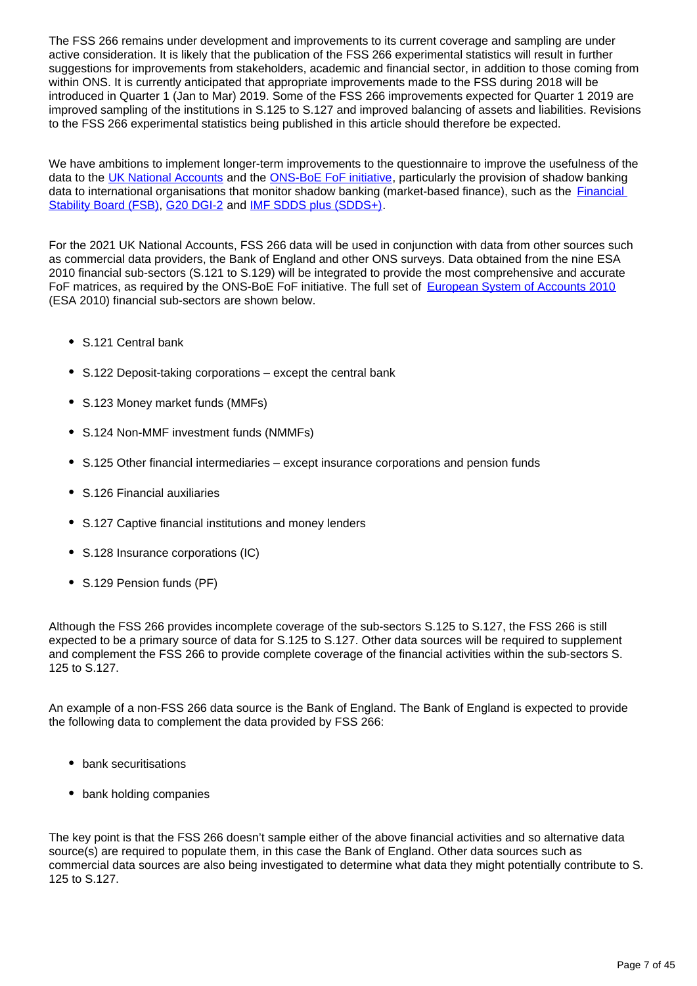The FSS 266 remains under development and improvements to its current coverage and sampling are under active consideration. It is likely that the publication of the FSS 266 experimental statistics will result in further suggestions for improvements from stakeholders, academic and financial sector, in addition to those coming from within ONS. It is currently anticipated that appropriate improvements made to the FSS during 2018 will be introduced in Quarter 1 (Jan to Mar) 2019. Some of the FSS 266 improvements expected for Quarter 1 2019 are improved sampling of the institutions in S.125 to S.127 and improved balancing of assets and liabilities. Revisions to the FSS 266 experimental statistics being published in this article should therefore be expected.

We have ambitions to implement longer-term improvements to the questionnaire to improve the usefulness of the data to the [UK National Accounts](https://www.ons.gov.uk/releases/uknationalaccountsthebluebook2017) and the [ONS-BoE FoF initiative](http://webarchive.nationalarchives.gov.uk/20160106021630/http:/www.ons.gov.uk/ons/guide-method/method-quality/specific/economy/national-accounts/changes-to-national-accounts/flow-of-funds--fof-/index.html), particularly the provision of shadow banking data to international organisations that monitor shadow banking (market-based finance), such as the [Financial](http://www.fsb.org/2018/03/global-shadow-banking-monitoring-report-2017/)  [Stability Board \(FSB\)](http://www.fsb.org/2018/03/global-shadow-banking-monitoring-report-2017/), [G20 DGI-2](http://www.imf.org/external/np/seminars/eng/dgi/index.htm) and [IMF SDDS plus \(SDDS+\).](https://dsbb.imf.org/)

For the 2021 UK National Accounts, FSS 266 data will be used in conjunction with data from other sources such as commercial data providers, the Bank of England and other ONS surveys. Data obtained from the nine ESA 2010 financial sub-sectors (S.121 to S.129) will be integrated to provide the most comprehensive and accurate FoF matrices, as required by the ONS-BoE FoF initiative. The full set of [European System of Accounts 2010](http://ec.europa.eu/eurostat/web/esa-2010) (ESA 2010) financial sub-sectors are shown below.

- S.121 Central bank
- S.122 Deposit-taking corporations except the central bank
- S.123 Money market funds (MMFs)
- S.124 Non-MMF investment funds (NMMFs)
- S.125 Other financial intermediaries except insurance corporations and pension funds
- S.126 Financial auxiliaries
- S.127 Captive financial institutions and money lenders
- S.128 Insurance corporations (IC)
- S.129 Pension funds (PF)

Although the FSS 266 provides incomplete coverage of the sub-sectors S.125 to S.127, the FSS 266 is still expected to be a primary source of data for S.125 to S.127. Other data sources will be required to supplement and complement the FSS 266 to provide complete coverage of the financial activities within the sub-sectors S. 125 to S.127.

An example of a non-FSS 266 data source is the Bank of England. The Bank of England is expected to provide the following data to complement the data provided by FSS 266:

- bank securitisations
- bank holding companies

The key point is that the FSS 266 doesn't sample either of the above financial activities and so alternative data source(s) are required to populate them, in this case the Bank of England. Other data sources such as commercial data sources are also being investigated to determine what data they might potentially contribute to S. 125 to S.127.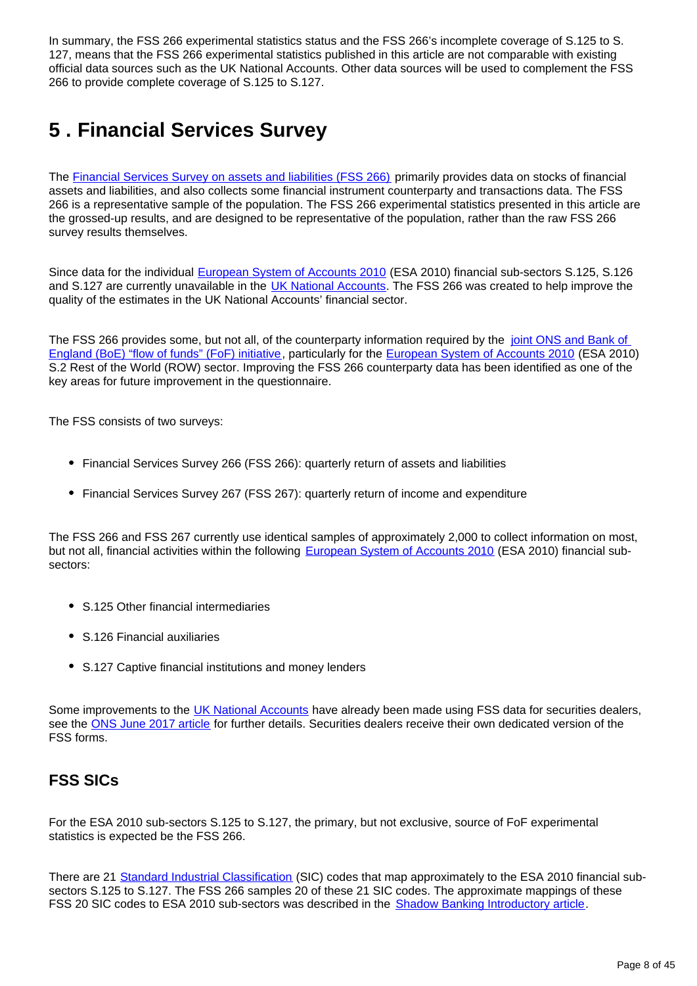In summary, the FSS 266 experimental statistics status and the FSS 266's incomplete coverage of S.125 to S. 127, means that the FSS 266 experimental statistics published in this article are not comparable with existing official data sources such as the UK National Accounts. Other data sources will be used to complement the FSS 266 to provide complete coverage of S.125 to S.127.

## <span id="page-7-0"></span>**5 . Financial Services Survey**

The [Financial Services Survey on assets and liabilities \(FSS 266\)](https://www.ons.gov.uk/surveys/informationforbusinesses/businesssurveys/financialservicessurvey) primarily provides data on stocks of financial assets and liabilities, and also collects some financial instrument counterparty and transactions data. The FSS 266 is a representative sample of the population. The FSS 266 experimental statistics presented in this article are the grossed-up results, and are designed to be representative of the population, rather than the raw FSS 266 survey results themselves.

Since data for the individual [European System of Accounts 2010](http://ec.europa.eu/eurostat/web/esa-2010) (ESA 2010) financial sub-sectors S.125, S.126 and S.127 are currently unavailable in the [UK National Accounts](https://www.ons.gov.uk/releases/uknationalaccountsthebluebook2017). The FSS 266 was created to help improve the quality of the estimates in the UK National Accounts' financial sector.

The FSS 266 provides some, but not all, of the counterparty information required by the joint ONS and Bank of [England \(BoE\) "flow of funds" \(FoF\) initiative,](http://webarchive.nationalarchives.gov.uk/20160106021630/http:/www.ons.gov.uk/ons/guide-method/method-quality/specific/economy/national-accounts/changes-to-national-accounts/flow-of-funds--fof-/index.html) particularly for the [European System of Accounts 2010](http://ec.europa.eu/eurostat/web/esa-2010) (ESA 2010) S.2 Rest of the World (ROW) sector. Improving the FSS 266 counterparty data has been identified as one of the key areas for future improvement in the questionnaire.

The FSS consists of two surveys:

- Financial Services Survey 266 (FSS 266): quarterly return of assets and liabilities
- Financial Services Survey 267 (FSS 267): quarterly return of income and expenditure

The FSS 266 and FSS 267 currently use identical samples of approximately 2,000 to collect information on most, but not all, financial activities within the following [European System of Accounts 2010](http://ec.europa.eu/eurostat/web/esa-2010) (ESA 2010) financial subsectors:

- S.125 Other financial intermediaries
- S.126 Financial auxiliaries
- S.127 Captive financial institutions and money lenders

Some improvements to the [UK National Accounts](https://www.ons.gov.uk/releases/uknationalaccountsthebluebook2017) have already been made using FSS data for securities dealers, see the [ONS June 2017 article](https://www.ons.gov.uk/economy/nationalaccounts/uksectoraccounts/articles/nationalaccountsarticles/theukenhancedfinancialaccountstheintroductionofthenewsecuritiesdealerssurveydataandexpansionoffinancialsubsectordetail) for further details. Securities dealers receive their own dedicated version of the FSS forms.

### **FSS SICs**

For the ESA 2010 sub-sectors S.125 to S.127, the primary, but not exclusive, source of FoF experimental statistics is expected be the FSS 266.

There are 21 [Standard Industrial Classification](https://www.ons.gov.uk/methodology/classificationsandstandards/ukstandardindustrialclassificationofeconomicactivities/uksic2007) (SIC) codes that map approximately to the ESA 2010 financial subsectors S.125 to S.127. The FSS 266 samples 20 of these 21 SIC codes. The approximate mappings of these FSS 20 SIC codes to ESA 2010 sub-sectors was described in the **[Shadow Banking Introductory article](https://www.ons.gov.uk/economy/nationalaccounts/uksectoraccounts/articles/economicstatisticstransformationprogrammeenhancedfinancialaccountsukflowoffundsshadowbankingintroductoryarticle/2018-05-01)**.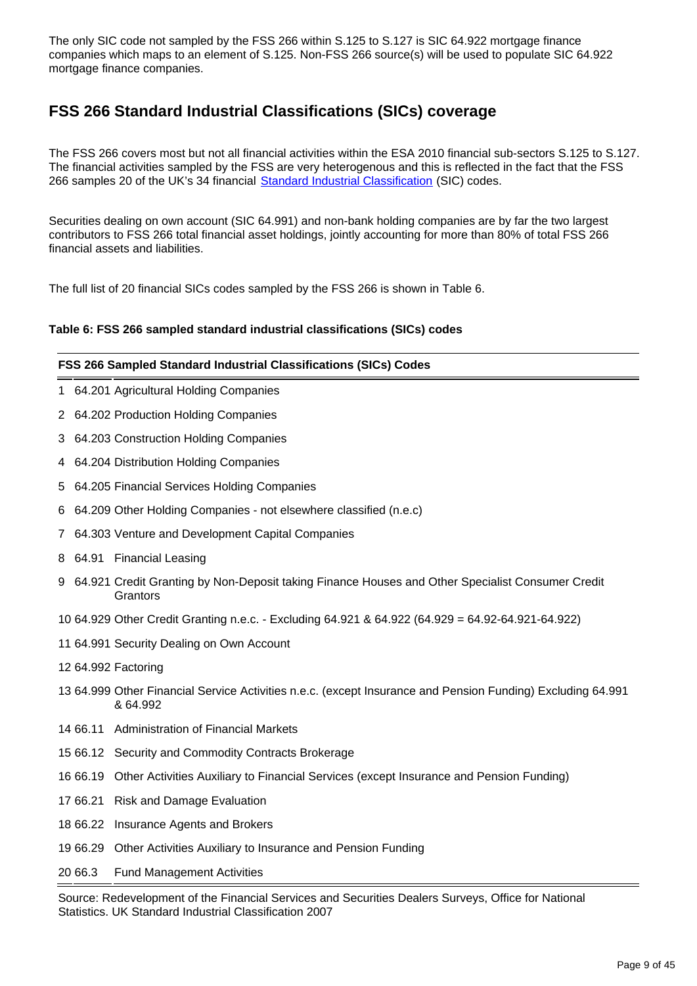The only SIC code not sampled by the FSS 266 within S.125 to S.127 is SIC 64.922 mortgage finance companies which maps to an element of S.125. Non-FSS 266 source(s) will be used to populate SIC 64.922 mortgage finance companies.

## **FSS 266 Standard Industrial Classifications (SICs) coverage**

The FSS 266 covers most but not all financial activities within the ESA 2010 financial sub-sectors S.125 to S.127. The financial activities sampled by the FSS are very heterogenous and this is reflected in the fact that the FSS 266 samples 20 of the UK's 34 financial [Standard Industrial Classification](https://www.ons.gov.uk/methodology/classificationsandstandards/ukstandardindustrialclassificationofeconomicactivities/uksic2007) (SIC) codes.

Securities dealing on own account (SIC 64.991) and non-bank holding companies are by far the two largest contributors to FSS 266 total financial asset holdings, jointly accounting for more than 80% of total FSS 266 financial assets and liabilities.

The full list of 20 financial SICs codes sampled by the FSS 266 is shown in Table 6.

#### **Table 6: FSS 266 sampled standard industrial classifications (SICs) codes**

#### **FSS 266 Sampled Standard Industrial Classifications (SICs) Codes**

- 1 64.201 Agricultural Holding Companies
- 2 64.202 Production Holding Companies
- 3 64.203 Construction Holding Companies
- 4 64.204 Distribution Holding Companies
- 5 64.205 Financial Services Holding Companies
- 6 64.209 Other Holding Companies not elsewhere classified (n.e.c)
- 7 64.303 Venture and Development Capital Companies
- 8 64.91 Financial Leasing
- 9 64.921 Credit Granting by Non-Deposit taking Finance Houses and Other Specialist Consumer Credit **Grantors**
- 10 64.929 Other Credit Granting n.e.c. Excluding 64.921 & 64.922 (64.929 = 64.92-64.921-64.922)
- 11 64.991 Security Dealing on Own Account
- 12 64.992 Factoring
- 13 64.999 Other Financial Service Activities n.e.c. (except Insurance and Pension Funding) Excluding 64.991 & 64.992
- 14 66.11 Administration of Financial Markets
- 15 66.12 Security and Commodity Contracts Brokerage
- 16 66.19 Other Activities Auxiliary to Financial Services (except Insurance and Pension Funding)
- 17 66.21 Risk and Damage Evaluation
- 18 66.22 Insurance Agents and Brokers
- 19 66.29 Other Activities Auxiliary to Insurance and Pension Funding
- 20 66.3 Fund Management Activities

Source: Redevelopment of the Financial Services and Securities Dealers Surveys, Office for National Statistics. UK Standard Industrial Classification 2007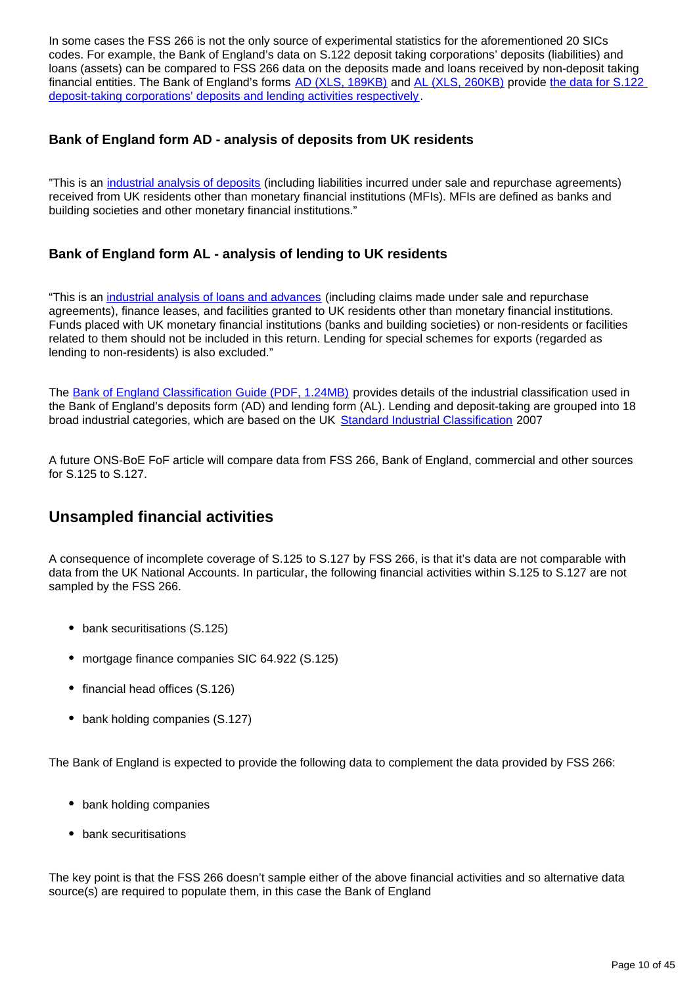In some cases the FSS 266 is not the only source of experimental statistics for the aforementioned 20 SICs codes. For example, the Bank of England's data on S.122 deposit taking corporations' deposits (liabilities) and loans (assets) can be compared to FSS 266 data on the deposits made and loans received by non-deposit taking financial entities. The Bank of England's forms [AD \(XLS, 189KB\)](https://www.bankofengland.co.uk/-/media/boe/files/statistics/data-collection/ad/form_ad2014.xls?la=en&hash=CC4B70E4A5B6CE26FC15498494F567E5EC530DDE) and [AL \(XLS, 260KB\)](https://www.bankofengland.co.uk/-/media/boe/files/statistics/data-collection/al/form_al2014.xls?la=en&hash=CC4B70E4A5B6CE26FC15498494F567E5EC530DDE) provide [the data for S.122](https://www.bankofengland.co.uk/Statistics/data-collection)  [deposit-taking corporations' deposits and lending activities respectively.](https://www.bankofengland.co.uk/Statistics/data-collection)

#### **Bank of England form AD - analysis of deposits from UK residents**

"This is an [industrial analysis of deposits](https://www.bankofengland.co.uk/-/media/boe/files/statistics/data-collection/ad/def_ad.pdf?la=en&hash=8F8429CEA456939B145C2BA3E158E41DEAD15C4D) (including liabilities incurred under sale and repurchase agreements) received from UK residents other than monetary financial institutions (MFIs). MFIs are defined as banks and building societies and other monetary financial institutions."

#### **Bank of England form AL - analysis of lending to UK residents**

"This is an [industrial analysis of loans and advances](https://www.bankofengland.co.uk/-/media/boe/files/statistics/data-collection/al/def_al.pdf?la=en&hash=74C10519135C7A62514BF356E0F12818BCBD5378) (including claims made under sale and repurchase agreements), finance leases, and facilities granted to UK residents other than monetary financial institutions. Funds placed with UK monetary financial institutions (banks and building societies) or non-residents or facilities related to them should not be included in this return. Lending for special schemes for exports (regarded as lending to non-residents) is also excluded."

The [Bank of England Classification Guide \(PDF, 1.24MB\)](https://www.bankofengland.co.uk/-/media/boe/files/statistics/data-collection/cag201901.pdf?la=en&hash=6E3AA3809BDBE67621EEF45EB5A15B391B43DAA2) provides details of the industrial classification used in the Bank of England's deposits form (AD) and lending form (AL). Lending and deposit-taking are grouped into 18 broad industrial categories, which are based on the UK [Standard Industrial Classification](https://www.ons.gov.uk/methodology/classificationsandstandards/ukstandardindustrialclassificationofeconomicactivities/uksic2007) 2007

A future ONS-BoE FoF article will compare data from FSS 266, Bank of England, commercial and other sources for S.125 to S.127.

### **Unsampled financial activities**

A consequence of incomplete coverage of S.125 to S.127 by FSS 266, is that it's data are not comparable with data from the UK National Accounts. In particular, the following financial activities within S.125 to S.127 are not sampled by the FSS 266.

- bank securitisations (S.125)
- mortgage finance companies SIC 64.922 (S.125)
- financial head offices (S.126)
- bank holding companies (S.127)

The Bank of England is expected to provide the following data to complement the data provided by FSS 266:

- bank holding companies
- bank securitisations

The key point is that the FSS 266 doesn't sample either of the above financial activities and so alternative data source(s) are required to populate them, in this case the Bank of England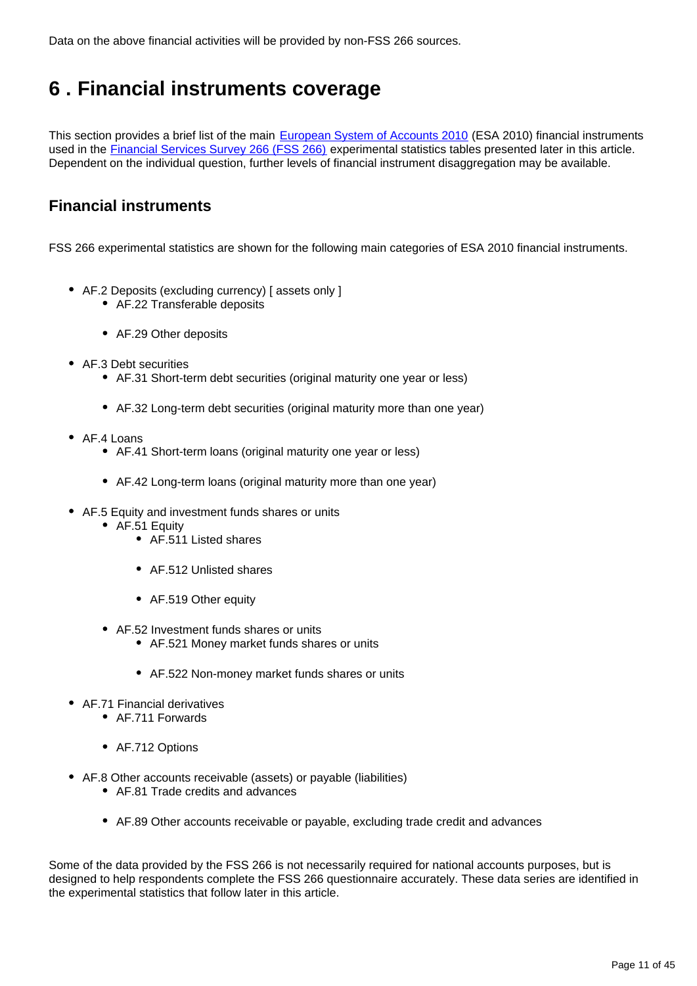Data on the above financial activities will be provided by non-FSS 266 sources.

## <span id="page-10-0"></span>**6 . Financial instruments coverage**

This section provides a brief list of the main [European System of Accounts 2010](http://ec.europa.eu/eurostat/web/esa-2010) (ESA 2010) financial instruments used in the [Financial Services Survey 266 \(FSS 266\)](https://www.ons.gov.uk/surveys/informationforbusinesses/businesssurveys/financialservicessurvey) experimental statistics tables presented later in this article. Dependent on the individual question, further levels of financial instrument disaggregation may be available.

### **Financial instruments**

FSS 266 experimental statistics are shown for the following main categories of ESA 2010 financial instruments.

- AF.2 Deposits (excluding currency) [ assets only ]
	- AF.22 Transferable deposits
	- AF.29 Other deposits
- AF.3 Debt securities
	- AF.31 Short-term debt securities (original maturity one year or less)
	- AF.32 Long-term debt securities (original maturity more than one year)
- AF.4 Loans
	- AF.41 Short-term loans (original maturity one year or less)
	- AF.42 Long-term loans (original maturity more than one year)
- AF.5 Equity and investment funds shares or units
	- AF.51 Equity
		- AF.511 Listed shares
		- AF.512 Unlisted shares
		- AF.519 Other equity
	- AF.52 Investment funds shares or units
		- AF.521 Money market funds shares or units
		- AF.522 Non-money market funds shares or units
- AF.71 Financial derivatives
	- AF.711 Forwards
	- AF.712 Options
- AF.8 Other accounts receivable (assets) or payable (liabilities)
	- AF.81 Trade credits and advances
	- AF.89 Other accounts receivable or payable, excluding trade credit and advances

Some of the data provided by the FSS 266 is not necessarily required for national accounts purposes, but is designed to help respondents complete the FSS 266 questionnaire accurately. These data series are identified in the experimental statistics that follow later in this article.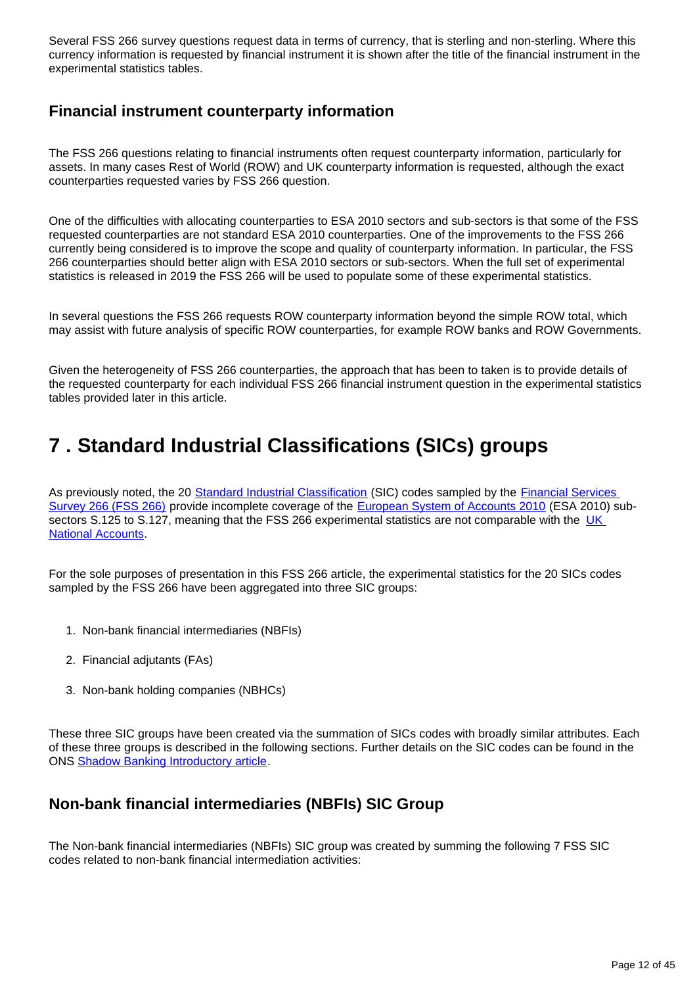Several FSS 266 survey questions request data in terms of currency, that is sterling and non-sterling. Where this currency information is requested by financial instrument it is shown after the title of the financial instrument in the experimental statistics tables.

### **Financial instrument counterparty information**

The FSS 266 questions relating to financial instruments often request counterparty information, particularly for assets. In many cases Rest of World (ROW) and UK counterparty information is requested, although the exact counterparties requested varies by FSS 266 question.

One of the difficulties with allocating counterparties to ESA 2010 sectors and sub-sectors is that some of the FSS requested counterparties are not standard ESA 2010 counterparties. One of the improvements to the FSS 266 currently being considered is to improve the scope and quality of counterparty information. In particular, the FSS 266 counterparties should better align with ESA 2010 sectors or sub-sectors. When the full set of experimental statistics is released in 2019 the FSS 266 will be used to populate some of these experimental statistics.

In several questions the FSS 266 requests ROW counterparty information beyond the simple ROW total, which may assist with future analysis of specific ROW counterparties, for example ROW banks and ROW Governments.

Given the heterogeneity of FSS 266 counterparties, the approach that has been to taken is to provide details of the requested counterparty for each individual FSS 266 financial instrument question in the experimental statistics tables provided later in this article.

## <span id="page-11-0"></span>**7 . Standard Industrial Classifications (SICs) groups**

As previously noted, the 20 [Standard Industrial Classification](https://www.ons.gov.uk/methodology/classificationsandstandards/ukstandardindustrialclassificationofeconomicactivities/uksic2007) (SIC) codes sampled by the **Financial Services** [Survey 266 \(FSS 266\)](https://www.ons.gov.uk/surveys/informationforbusinesses/businesssurveys/financialservicessurvey) provide incomplete coverage of the [European System of Accounts 2010](http://ec.europa.eu/eurostat/web/esa-2010) (ESA 2010) subsectors S.125 to S.127, meaning that the FSS 266 experimental statistics are not comparable with the UK [National Accounts](https://www.ons.gov.uk/releases/uknationalaccountsthebluebook2017).

For the sole purposes of presentation in this FSS 266 article, the experimental statistics for the 20 SICs codes sampled by the FSS 266 have been aggregated into three SIC groups:

- 1. Non-bank financial intermediaries (NBFIs)
- 2. Financial adjutants (FAs)
- 3. Non-bank holding companies (NBHCs)

These three SIC groups have been created via the summation of SICs codes with broadly similar attributes. Each of these three groups is described in the following sections. Further details on the SIC codes can be found in the ONS [Shadow Banking Introductory article](https://www.ons.gov.uk/economy/nationalaccounts/uksectoraccounts/articles/economicstatisticstransformationprogrammeenhancedfinancialaccountsukflowoffundsshadowbankingintroductoryarticle/2018-05-01).

### **Non-bank financial intermediaries (NBFIs) SIC Group**

The Non-bank financial intermediaries (NBFIs) SIC group was created by summing the following 7 FSS SIC codes related to non-bank financial intermediation activities: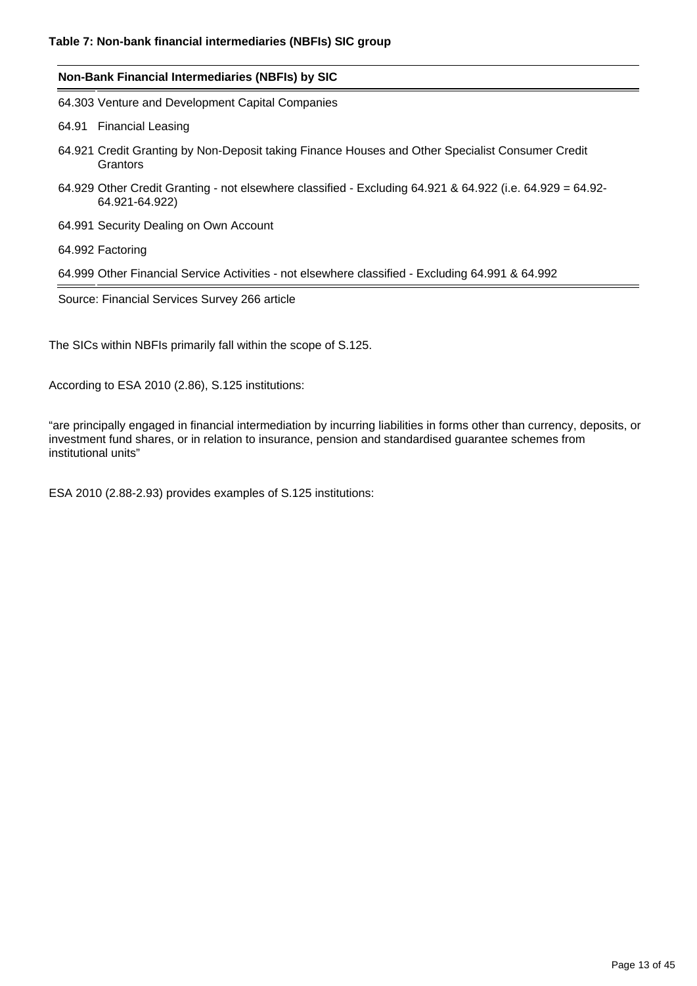| Non-Bank Financial Intermediaries (NBFIs) by SIC                                                                            |
|-----------------------------------------------------------------------------------------------------------------------------|
| 64.303 Venture and Development Capital Companies                                                                            |
| 64.91 Financial Leasing                                                                                                     |
| 64.921 Credit Granting by Non-Deposit taking Finance Houses and Other Specialist Consumer Credit<br>Grantors                |
| 64.929 Other Credit Granting - not elsewhere classified - Excluding 64.921 & 64.922 (i.e. 64.929 = 64.92-<br>64.921-64.922) |
| 64.991 Security Dealing on Own Account                                                                                      |
| 64.992 Factoring                                                                                                            |
| 64.999 Other Financial Service Activities - not elsewhere classified - Excluding 64.991 & 64.992                            |
| Source: Financial Services Survey 266 article                                                                               |
|                                                                                                                             |

The SICs within NBFIs primarily fall within the scope of S.125.

According to ESA 2010 (2.86), S.125 institutions:

"are principally engaged in financial intermediation by incurring liabilities in forms other than currency, deposits, or investment fund shares, or in relation to insurance, pension and standardised guarantee schemes from institutional units"

ESA 2010 (2.88-2.93) provides examples of S.125 institutions: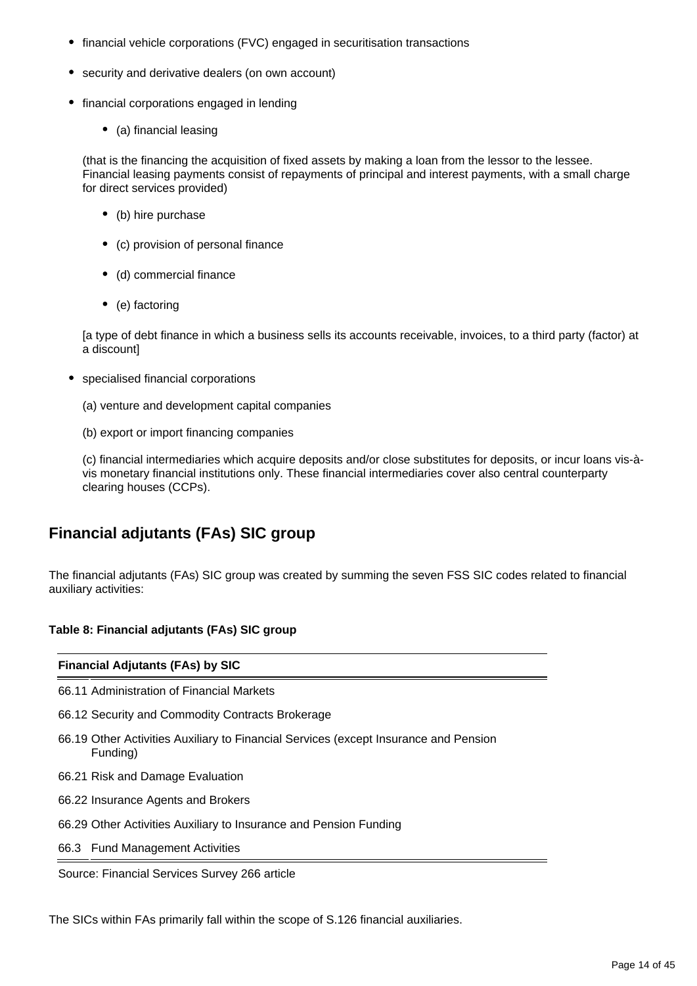- financial vehicle corporations (FVC) engaged in securitisation transactions
- security and derivative dealers (on own account)
- financial corporations engaged in lending
	- (a) financial leasing

(that is the financing the acquisition of fixed assets by making a loan from the lessor to the lessee. Financial leasing payments consist of repayments of principal and interest payments, with a small charge for direct services provided)

- (b) hire purchase
- (c) provision of personal finance
- (d) commercial finance
- (e) factoring

[a type of debt finance in which a business sells its accounts receivable, invoices, to a third party (factor) at a discount]

- specialised financial corporations
	- (a) venture and development capital companies
	- (b) export or import financing companies

(c) financial intermediaries which acquire deposits and/or close substitutes for deposits, or incur loans vis-àvis monetary financial institutions only. These financial intermediaries cover also central counterparty clearing houses (CCPs).

## **Financial adjutants (FAs) SIC group**

The financial adjutants (FAs) SIC group was created by summing the seven FSS SIC codes related to financial auxiliary activities:

#### **Table 8: Financial adjutants (FAs) SIC group**

#### **Financial Adjutants (FAs) by SIC**

66.11 Administration of Financial Markets

- 66.12 Security and Commodity Contracts Brokerage
- 66.19 Other Activities Auxiliary to Financial Services (except Insurance and Pension Funding)
- 66.21 Risk and Damage Evaluation
- 66.22 Insurance Agents and Brokers
- 66.29 Other Activities Auxiliary to Insurance and Pension Funding
- 66.3 Fund Management Activities

Source: Financial Services Survey 266 article

The SICs within FAs primarily fall within the scope of S.126 financial auxiliaries.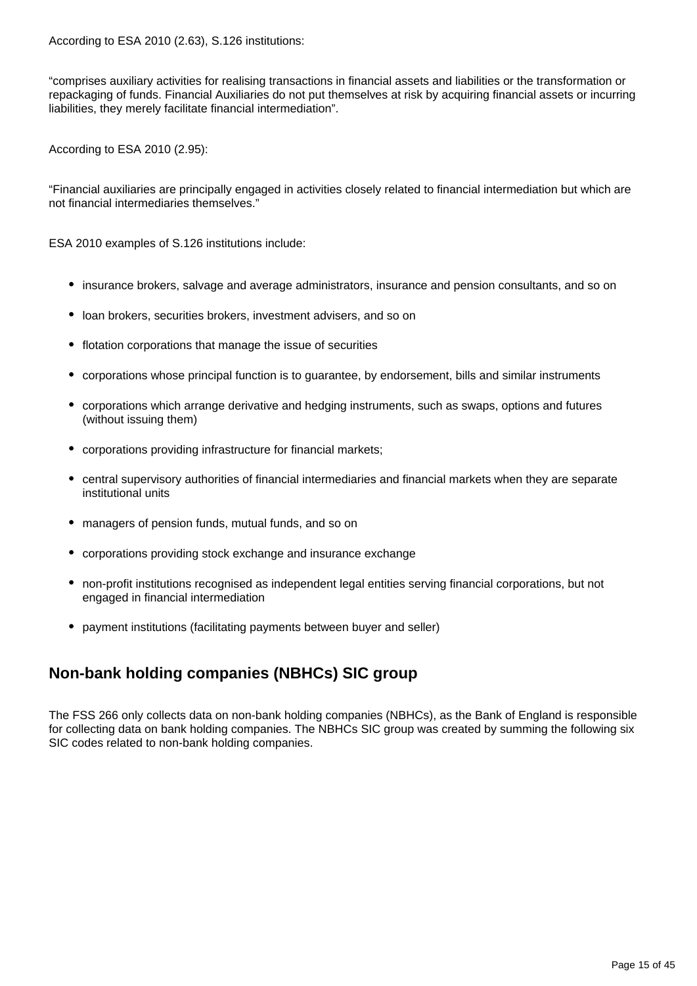According to ESA 2010 (2.63), S.126 institutions:

"comprises auxiliary activities for realising transactions in financial assets and liabilities or the transformation or repackaging of funds. Financial Auxiliaries do not put themselves at risk by acquiring financial assets or incurring liabilities, they merely facilitate financial intermediation".

According to ESA 2010 (2.95):

"Financial auxiliaries are principally engaged in activities closely related to financial intermediation but which are not financial intermediaries themselves."

ESA 2010 examples of S.126 institutions include:

- insurance brokers, salvage and average administrators, insurance and pension consultants, and so on
- loan brokers, securities brokers, investment advisers, and so on
- flotation corporations that manage the issue of securities
- corporations whose principal function is to guarantee, by endorsement, bills and similar instruments
- corporations which arrange derivative and hedging instruments, such as swaps, options and futures (without issuing them)
- corporations providing infrastructure for financial markets;
- central supervisory authorities of financial intermediaries and financial markets when they are separate institutional units
- managers of pension funds, mutual funds, and so on
- corporations providing stock exchange and insurance exchange
- non-profit institutions recognised as independent legal entities serving financial corporations, but not engaged in financial intermediation
- payment institutions (facilitating payments between buyer and seller)

## **Non-bank holding companies (NBHCs) SIC group**

The FSS 266 only collects data on non-bank holding companies (NBHCs), as the Bank of England is responsible for collecting data on bank holding companies. The NBHCs SIC group was created by summing the following six SIC codes related to non-bank holding companies.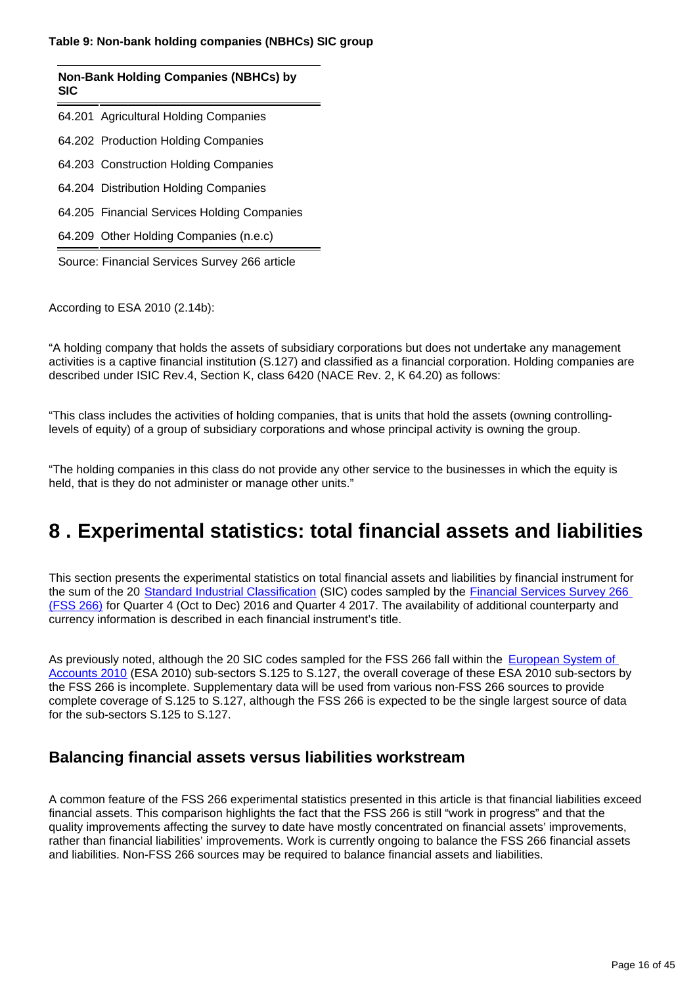#### **Table 9: Non-bank holding companies (NBHCs) SIC group**

#### **Non-Bank Holding Companies (NBHCs) by SIC**

64.201 Agricultural Holding Companies

64.202 Production Holding Companies

64.203 Construction Holding Companies

64.204 Distribution Holding Companies

64.205 Financial Services Holding Companies

64.209 Other Holding Companies (n.e.c)

Source: Financial Services Survey 266 article

According to ESA 2010 (2.14b):

"A holding company that holds the assets of subsidiary corporations but does not undertake any management activities is a captive financial institution (S.127) and classified as a financial corporation. Holding companies are described under ISIC Rev.4, Section K, class 6420 (NACE Rev. 2, K 64.20) as follows:

"This class includes the activities of holding companies, that is units that hold the assets (owning controllinglevels of equity) of a group of subsidiary corporations and whose principal activity is owning the group.

"The holding companies in this class do not provide any other service to the businesses in which the equity is held, that is they do not administer or manage other units."

## <span id="page-15-0"></span>**8 . Experimental statistics: total financial assets and liabilities**

This section presents the experimental statistics on total financial assets and liabilities by financial instrument for the sum of the 20 [Standard Industrial Classification](https://www.ons.gov.uk/methodology/classificationsandstandards/ukstandardindustrialclassificationofeconomicactivities/uksic2007) (SIC) codes sampled by the Financial Services Survey 266 [\(FSS 266\)](https://www.ons.gov.uk/surveys/informationforbusinesses/businesssurveys/financialservicessurvey) for Quarter 4 (Oct to Dec) 2016 and Quarter 4 2017. The availability of additional counterparty and currency information is described in each financial instrument's title.

As previously noted, although the 20 SIC codes sampled for the FSS 266 fall within the **European System of** [Accounts 2010](http://ec.europa.eu/eurostat/web/esa-2010) (ESA 2010) sub-sectors S.125 to S.127, the overall coverage of these ESA 2010 sub-sectors by the FSS 266 is incomplete. Supplementary data will be used from various non-FSS 266 sources to provide complete coverage of S.125 to S.127, although the FSS 266 is expected to be the single largest source of data for the sub-sectors S.125 to S.127.

### **Balancing financial assets versus liabilities workstream**

A common feature of the FSS 266 experimental statistics presented in this article is that financial liabilities exceed financial assets. This comparison highlights the fact that the FSS 266 is still "work in progress" and that the quality improvements affecting the survey to date have mostly concentrated on financial assets' improvements, rather than financial liabilities' improvements. Work is currently ongoing to balance the FSS 266 financial assets and liabilities. Non-FSS 266 sources may be required to balance financial assets and liabilities.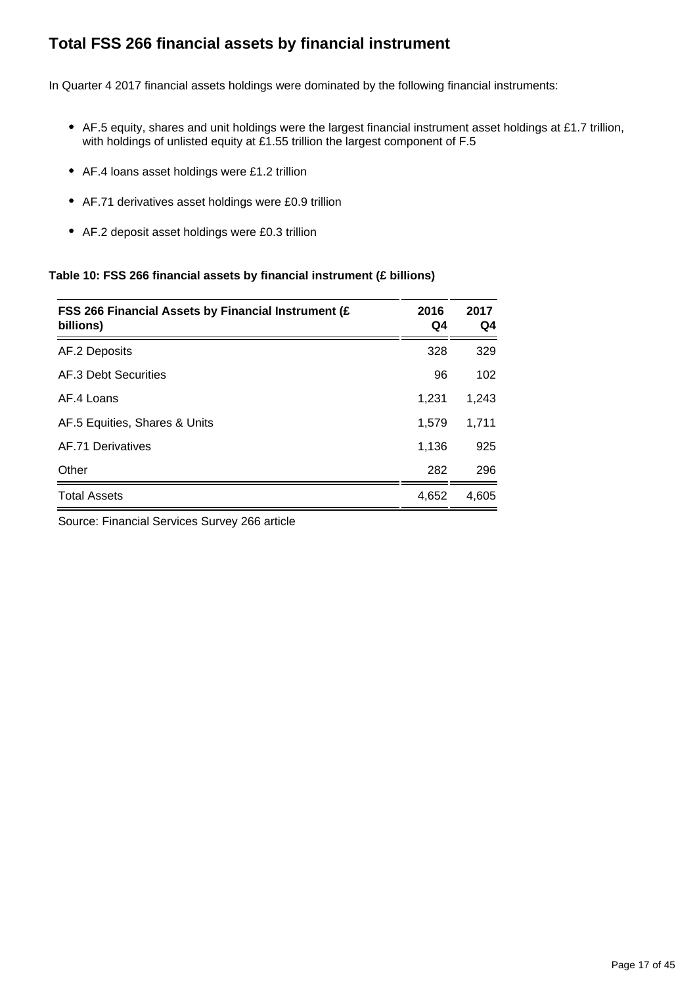## **Total FSS 266 financial assets by financial instrument**

In Quarter 4 2017 financial assets holdings were dominated by the following financial instruments:

- AF.5 equity, shares and unit holdings were the largest financial instrument asset holdings at £1.7 trillion, with holdings of unlisted equity at £1.55 trillion the largest component of F.5
- AF.4 loans asset holdings were £1.2 trillion
- AF.71 derivatives asset holdings were £0.9 trillion
- AF.2 deposit asset holdings were £0.3 trillion

#### **Table 10: FSS 266 financial assets by financial instrument (£ billions)**

| FSS 266 Financial Assets by Financial Instrument (£<br>billions) | 2016<br>Q4 | 2017<br>Q4 |
|------------------------------------------------------------------|------------|------------|
| AF.2 Deposits                                                    | 328        | 329        |
| AF.3 Debt Securities                                             | 96         | 102        |
| AF 4 Loans                                                       | 1,231      | 1,243      |
| AF.5 Equities, Shares & Units                                    | 1,579      | 1,711      |
| AF.71 Derivatives                                                | 1,136      | 925        |
| Other                                                            | 282        | 296        |
| <b>Total Assets</b>                                              | 4,652      | 4,605      |

Source: Financial Services Survey 266 article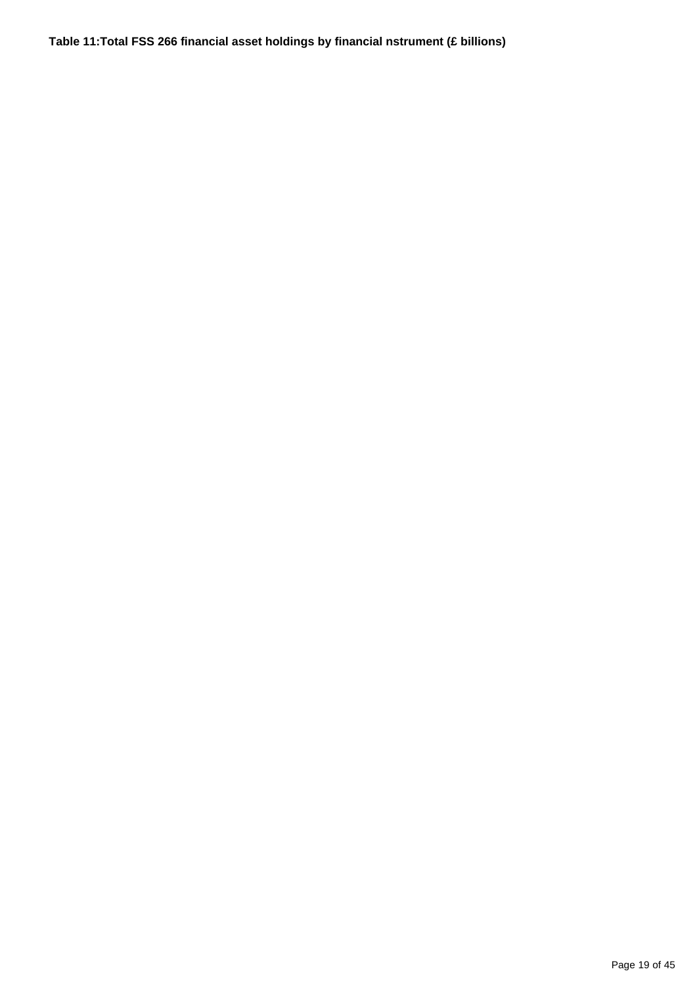**Table 11:Total FSS 266 financial asset holdings by financial nstrument (£ billions)**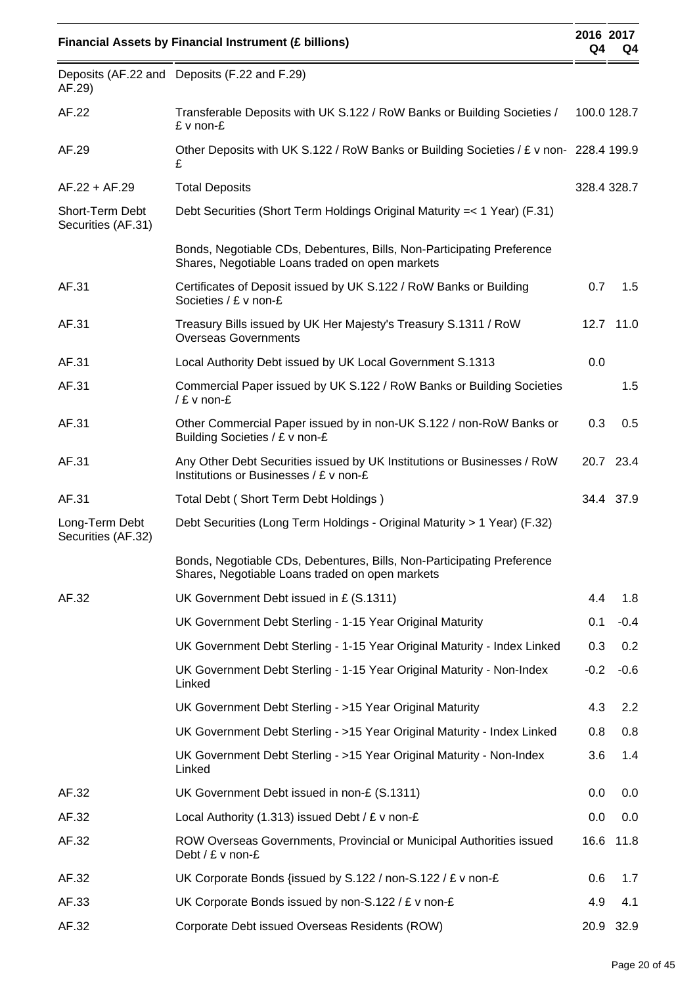|                                       | <b>Financial Assets by Financial Instrument (£ billions)</b>                                                              | 2016 2017<br>Q4 | Q4        |
|---------------------------------------|---------------------------------------------------------------------------------------------------------------------------|-----------------|-----------|
| AF.29)                                | Deposits (AF.22 and Deposits (F.22 and F.29)                                                                              |                 |           |
| AF.22                                 | Transferable Deposits with UK S.122 / RoW Banks or Building Societies /<br>£ v non-£                                      | 100.0 128.7     |           |
| AF.29                                 | Other Deposits with UK S.122 / RoW Banks or Building Societies / £ v non- 228.4 199.9<br>£                                |                 |           |
| $AF.22 + AF.29$                       | <b>Total Deposits</b>                                                                                                     | 328.4 328.7     |           |
| Short-Term Debt<br>Securities (AF.31) | Debt Securities (Short Term Holdings Original Maturity = < 1 Year) (F.31)                                                 |                 |           |
|                                       | Bonds, Negotiable CDs, Debentures, Bills, Non-Participating Preference<br>Shares, Negotiable Loans traded on open markets |                 |           |
| AF.31                                 | Certificates of Deposit issued by UK S.122 / RoW Banks or Building<br>Societies / £ v non-£                               | 0.7             | 1.5       |
| AF.31                                 | Treasury Bills issued by UK Her Majesty's Treasury S.1311 / RoW<br><b>Overseas Governments</b>                            |                 | 12.7 11.0 |
| AF.31                                 | Local Authority Debt issued by UK Local Government S.1313                                                                 | 0.0             |           |
| AF.31                                 | Commercial Paper issued by UK S.122 / RoW Banks or Building Societies<br>/ £ v non-£                                      |                 | 1.5       |
| AF.31                                 | Other Commercial Paper issued by in non-UK S.122 / non-RoW Banks or<br>Building Societies / £ v non-£                     | 0.3             | 0.5       |
| AF.31                                 | Any Other Debt Securities issued by UK Institutions or Businesses / RoW<br>Institutions or Businesses / £ v non-£         |                 | 20.7 23.4 |
| AF.31                                 | Total Debt (Short Term Debt Holdings)                                                                                     |                 | 34.4 37.9 |
| Long-Term Debt<br>Securities (AF.32)  | Debt Securities (Long Term Holdings - Original Maturity > 1 Year) (F.32)                                                  |                 |           |
|                                       | Bonds, Negotiable CDs, Debentures, Bills, Non-Participating Preference<br>Shares, Negotiable Loans traded on open markets |                 |           |
| AF.32                                 | UK Government Debt issued in £ (S.1311)                                                                                   | 4.4             | 1.8       |
|                                       | UK Government Debt Sterling - 1-15 Year Original Maturity                                                                 | 0.1             | $-0.4$    |
|                                       | UK Government Debt Sterling - 1-15 Year Original Maturity - Index Linked                                                  | 0.3             | 0.2       |
|                                       | UK Government Debt Sterling - 1-15 Year Original Maturity - Non-Index<br>Linked                                           | $-0.2$          | $-0.6$    |
|                                       | UK Government Debt Sterling - >15 Year Original Maturity                                                                  | 4.3             | 2.2       |
|                                       | UK Government Debt Sterling - >15 Year Original Maturity - Index Linked                                                   | 0.8             | 0.8       |
|                                       | UK Government Debt Sterling - >15 Year Original Maturity - Non-Index<br>Linked                                            | 3.6             | 1.4       |
| AF.32                                 | UK Government Debt issued in non-£ (S.1311)                                                                               | 0.0             | 0.0       |
| AF.32                                 | Local Authority (1.313) issued Debt / $E$ v non- $E$                                                                      | 0.0             | 0.0       |
| AF.32                                 | ROW Overseas Governments, Provincial or Municipal Authorities issued<br>Debt / $E$ v non- $E$                             | 16.6            | 11.8      |
| AF.32                                 | UK Corporate Bonds {issued by S.122 / non-S.122 / £ v non-£                                                               | 0.6             | 1.7       |
| AF.33                                 | UK Corporate Bonds issued by non-S.122 / £ v non-£                                                                        | 4.9             | 4.1       |
| AF.32                                 | Corporate Debt issued Overseas Residents (ROW)                                                                            | 20.9            | 32.9      |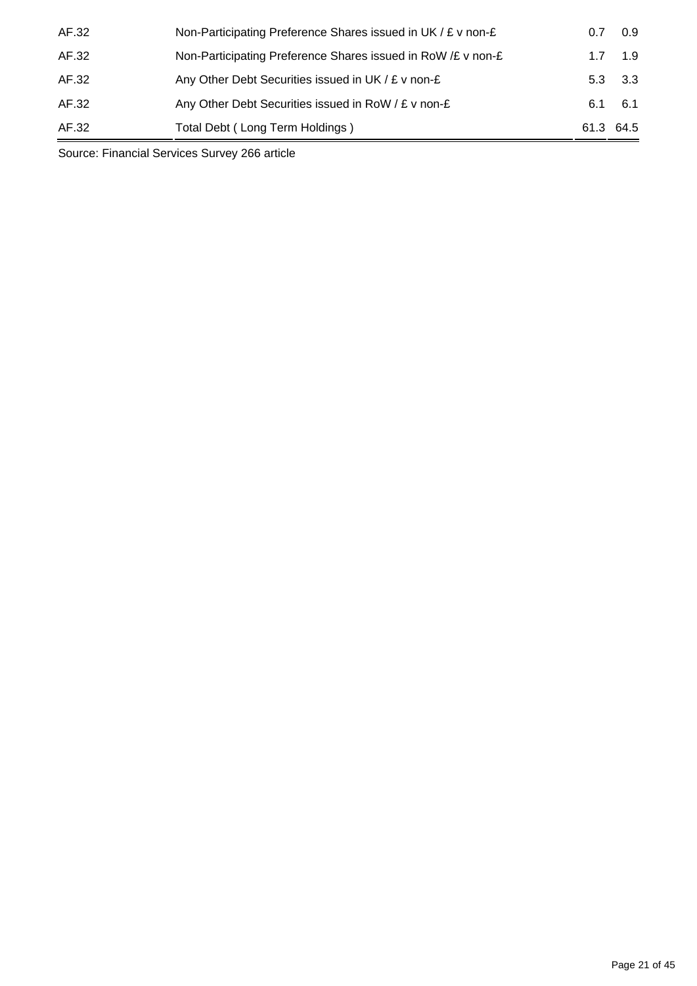| AF.32 | Non-Participating Preference Shares issued in UK / £ v non-£ | 0.7       | 0.9            |
|-------|--------------------------------------------------------------|-----------|----------------|
| AF.32 | Non-Participating Preference Shares issued in RoW /£ v non-£ | 17        | 1.9            |
| AF.32 | Any Other Debt Securities issued in UK / £ v non-£           |           | $5.3\quad 3.3$ |
| AF.32 | Any Other Debt Securities issued in RoW / £ v non-£          | 6.1       | - 6.1          |
| AF.32 | Total Debt (Long Term Holdings)                              | 61.3 64.5 |                |

Source: Financial Services Survey 266 article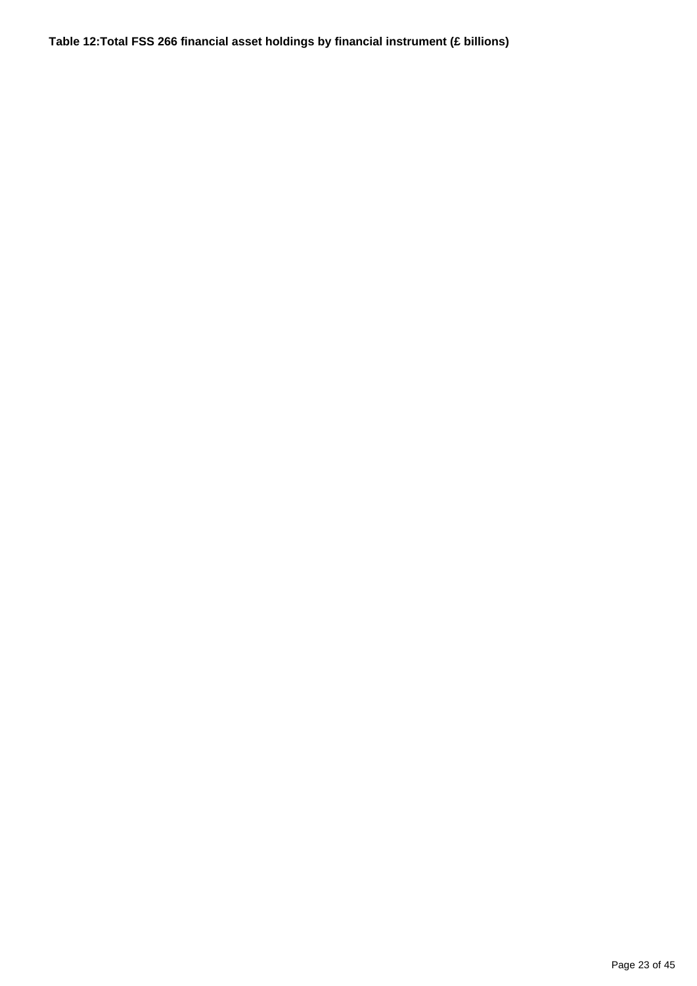**Table 12:Total FSS 266 financial asset holdings by financial instrument (£ billions)**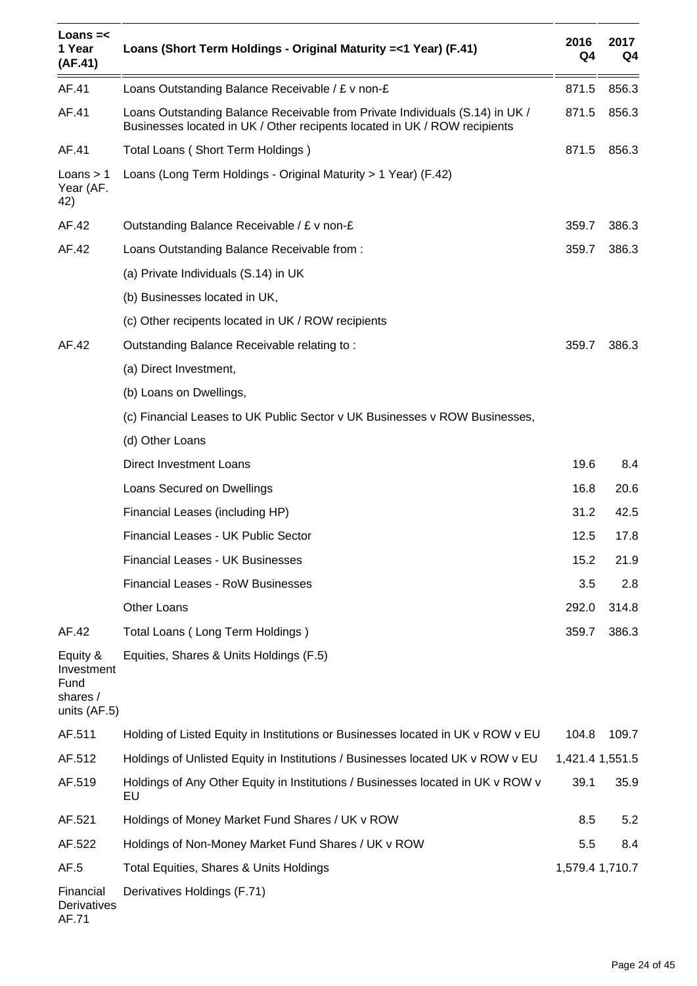| Loans $=<$<br>1 Year<br>(AF.41)                            | Loans (Short Term Holdings - Original Maturity = < 1 Year) (F.41)                                                                                         | 2016<br>Q4      | 2017<br>Q4 |
|------------------------------------------------------------|-----------------------------------------------------------------------------------------------------------------------------------------------------------|-----------------|------------|
| AF.41                                                      | Loans Outstanding Balance Receivable / £ v non-£                                                                                                          | 871.5           | 856.3      |
| AF.41                                                      | Loans Outstanding Balance Receivable from Private Individuals (S.14) in UK /<br>Businesses located in UK / Other recipents located in UK / ROW recipients | 871.5           | 856.3      |
| AF.41                                                      | Total Loans (Short Term Holdings)                                                                                                                         | 871.5           | 856.3      |
| Loans $> 1$<br>Year (AF.<br>42)                            | Loans (Long Term Holdings - Original Maturity > 1 Year) (F.42)                                                                                            |                 |            |
| AF.42                                                      | Outstanding Balance Receivable / £ v non-£                                                                                                                | 359.7           | 386.3      |
| AF.42                                                      | Loans Outstanding Balance Receivable from:                                                                                                                | 359.7           | 386.3      |
|                                                            | (a) Private Individuals (S.14) in UK                                                                                                                      |                 |            |
|                                                            | (b) Businesses located in UK,                                                                                                                             |                 |            |
|                                                            | (c) Other recipents located in UK / ROW recipients                                                                                                        |                 |            |
| AF.42                                                      | Outstanding Balance Receivable relating to:                                                                                                               | 359.7           | 386.3      |
|                                                            | (a) Direct Investment,                                                                                                                                    |                 |            |
|                                                            | (b) Loans on Dwellings,                                                                                                                                   |                 |            |
|                                                            | (c) Financial Leases to UK Public Sector v UK Businesses v ROW Businesses,                                                                                |                 |            |
|                                                            | (d) Other Loans                                                                                                                                           |                 |            |
|                                                            | Direct Investment Loans                                                                                                                                   | 19.6            | 8.4        |
|                                                            | Loans Secured on Dwellings                                                                                                                                | 16.8            | 20.6       |
|                                                            | Financial Leases (including HP)                                                                                                                           | 31.2            | 42.5       |
|                                                            | Financial Leases - UK Public Sector                                                                                                                       | 12.5            | 17.8       |
|                                                            | <b>Financial Leases - UK Businesses</b>                                                                                                                   | 15.2            | 21.9       |
|                                                            | <b>Financial Leases - RoW Businesses</b>                                                                                                                  | 3.5             | 2.8        |
|                                                            | Other Loans                                                                                                                                               | 292.0           | 314.8      |
| AF.42                                                      | Total Loans (Long Term Holdings)                                                                                                                          | 359.7           | 386.3      |
| Equity &<br>Investment<br>Fund<br>shares /<br>units (AF.5) | Equities, Shares & Units Holdings (F.5)                                                                                                                   |                 |            |
| AF.511                                                     | Holding of Listed Equity in Institutions or Businesses located in UK v ROW v EU                                                                           | 104.8           | 109.7      |
| AF.512                                                     | Holdings of Unlisted Equity in Institutions / Businesses located UK v ROW v EU                                                                            | 1,421.4 1,551.5 |            |
| AF.519                                                     | Holdings of Any Other Equity in Institutions / Businesses located in UK v ROW v<br>EU                                                                     | 39.1            | 35.9       |
| AF.521                                                     | Holdings of Money Market Fund Shares / UK v ROW                                                                                                           | 8.5             | 5.2        |
| AF.522                                                     | Holdings of Non-Money Market Fund Shares / UK v ROW                                                                                                       | 5.5             | 8.4        |
| AF.5                                                       | Total Equities, Shares & Units Holdings                                                                                                                   | 1,579.4 1,710.7 |            |
| Financial<br>Derivatives<br>AF.71                          | Derivatives Holdings (F.71)                                                                                                                               |                 |            |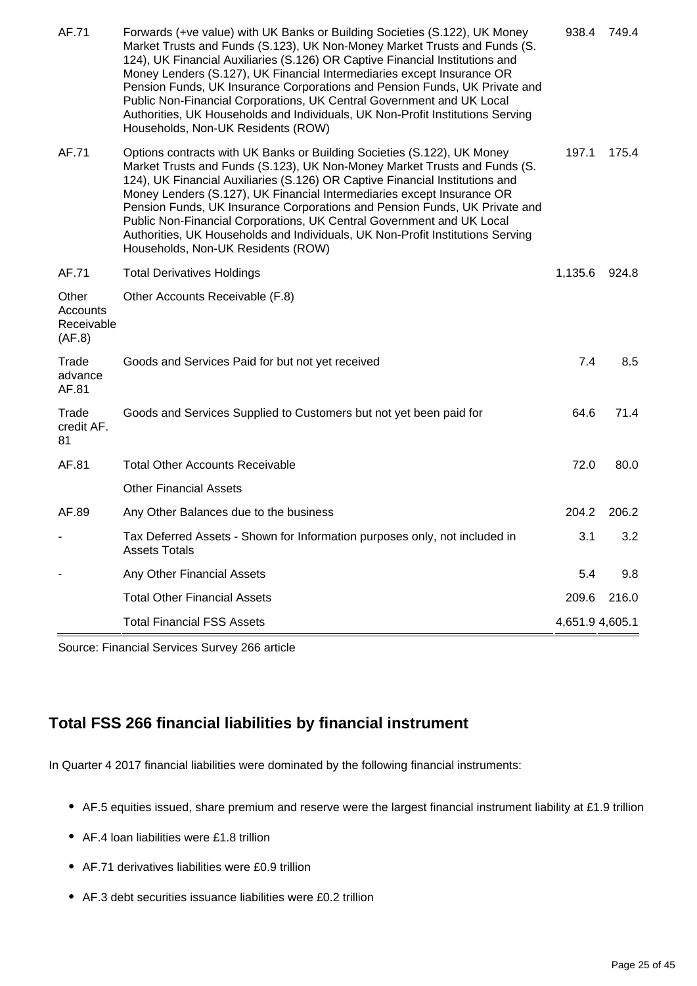| AF.71                                     | Forwards (+ve value) with UK Banks or Building Societies (S.122), UK Money<br>Market Trusts and Funds (S.123), UK Non-Money Market Trusts and Funds (S.<br>124), UK Financial Auxiliaries (S.126) OR Captive Financial Institutions and<br>Money Lenders (S.127), UK Financial Intermediaries except Insurance OR<br>Pension Funds, UK Insurance Corporations and Pension Funds, UK Private and<br>Public Non-Financial Corporations, UK Central Government and UK Local<br>Authorities, UK Households and Individuals, UK Non-Profit Institutions Serving<br>Households, Non-UK Residents (ROW) | 938.4           | 749.4 |
|-------------------------------------------|--------------------------------------------------------------------------------------------------------------------------------------------------------------------------------------------------------------------------------------------------------------------------------------------------------------------------------------------------------------------------------------------------------------------------------------------------------------------------------------------------------------------------------------------------------------------------------------------------|-----------------|-------|
| AF.71                                     | Options contracts with UK Banks or Building Societies (S.122), UK Money<br>Market Trusts and Funds (S.123), UK Non-Money Market Trusts and Funds (S.<br>124), UK Financial Auxiliaries (S.126) OR Captive Financial Institutions and<br>Money Lenders (S.127), UK Financial Intermediaries except Insurance OR<br>Pension Funds, UK Insurance Corporations and Pension Funds, UK Private and<br>Public Non-Financial Corporations, UK Central Government and UK Local<br>Authorities, UK Households and Individuals, UK Non-Profit Institutions Serving<br>Households, Non-UK Residents (ROW)    | 197.1           | 175.4 |
| AF.71                                     | <b>Total Derivatives Holdings</b>                                                                                                                                                                                                                                                                                                                                                                                                                                                                                                                                                                | 1,135.6         | 924.8 |
| Other<br>Accounts<br>Receivable<br>(AF.8) | Other Accounts Receivable (F.8)                                                                                                                                                                                                                                                                                                                                                                                                                                                                                                                                                                  |                 |       |
| Trade<br>advance<br>AF.81                 | Goods and Services Paid for but not yet received                                                                                                                                                                                                                                                                                                                                                                                                                                                                                                                                                 | 7.4             | 8.5   |
| Trade<br>credit AF.<br>81                 | Goods and Services Supplied to Customers but not yet been paid for                                                                                                                                                                                                                                                                                                                                                                                                                                                                                                                               | 64.6            | 71.4  |
| AF.81                                     | <b>Total Other Accounts Receivable</b>                                                                                                                                                                                                                                                                                                                                                                                                                                                                                                                                                           | 72.0            | 80.0  |
|                                           | <b>Other Financial Assets</b>                                                                                                                                                                                                                                                                                                                                                                                                                                                                                                                                                                    |                 |       |
| AF.89                                     | Any Other Balances due to the business                                                                                                                                                                                                                                                                                                                                                                                                                                                                                                                                                           | 204.2           | 206.2 |
|                                           | Tax Deferred Assets - Shown for Information purposes only, not included in<br><b>Assets Totals</b>                                                                                                                                                                                                                                                                                                                                                                                                                                                                                               | 3.1             | 3.2   |
|                                           | Any Other Financial Assets                                                                                                                                                                                                                                                                                                                                                                                                                                                                                                                                                                       | 5.4             | 9.8   |
|                                           | <b>Total Other Financial Assets</b>                                                                                                                                                                                                                                                                                                                                                                                                                                                                                                                                                              | 209.6           | 216.0 |
|                                           | <b>Total Financial FSS Assets</b>                                                                                                                                                                                                                                                                                                                                                                                                                                                                                                                                                                | 4,651.9 4,605.1 |       |

Source: Financial Services Survey 266 article

## **Total FSS 266 financial liabilities by financial instrument**

In Quarter 4 2017 financial liabilities were dominated by the following financial instruments:

- AF.5 equities issued, share premium and reserve were the largest financial instrument liability at £1.9 trillion
- AF.4 loan liabilities were £1.8 trillion
- AF.71 derivatives liabilities were £0.9 trillion
- AF.3 debt securities issuance liabilities were £0.2 trillion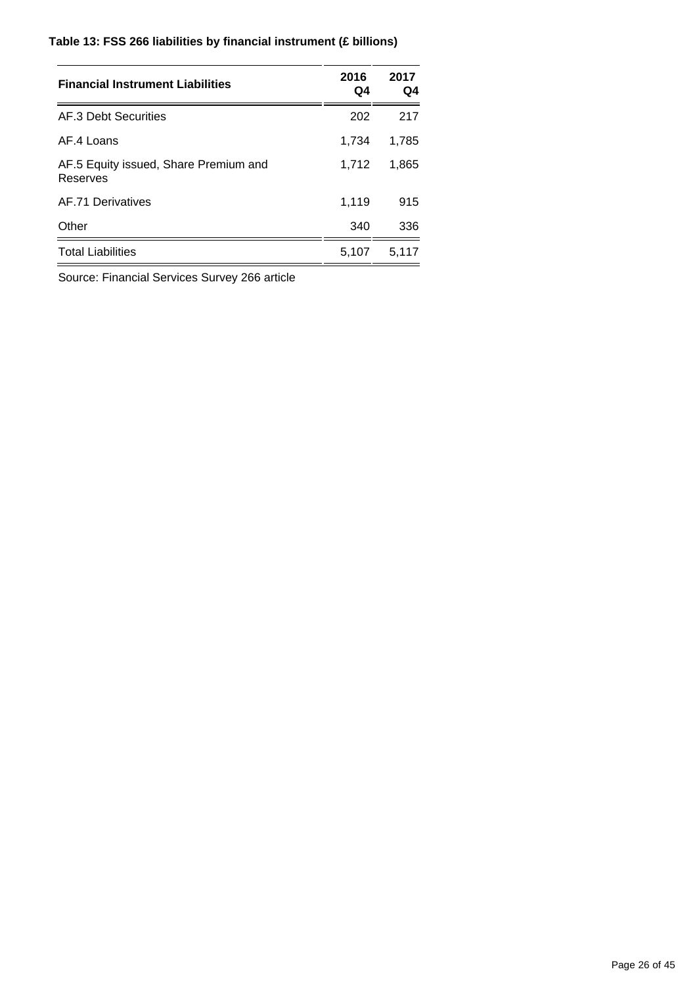### **Table 13: FSS 266 liabilities by financial instrument (£ billions)**

| <b>Financial Instrument Liabilities</b>           | 2016<br>Q4 | 2017<br>Q4 |
|---------------------------------------------------|------------|------------|
| AF.3 Debt Securities                              | 202        | 217        |
| AF.4 Loans                                        | 1,734      | 1,785      |
| AF.5 Equity issued, Share Premium and<br>Reserves | 1.712      | 1,865      |
| AF.71 Derivatives                                 | 1,119      | 915        |
| Other                                             | 340        | 336        |
| <b>Total Liabilities</b>                          | 5,107      | 5,117      |

Source: Financial Services Survey 266 article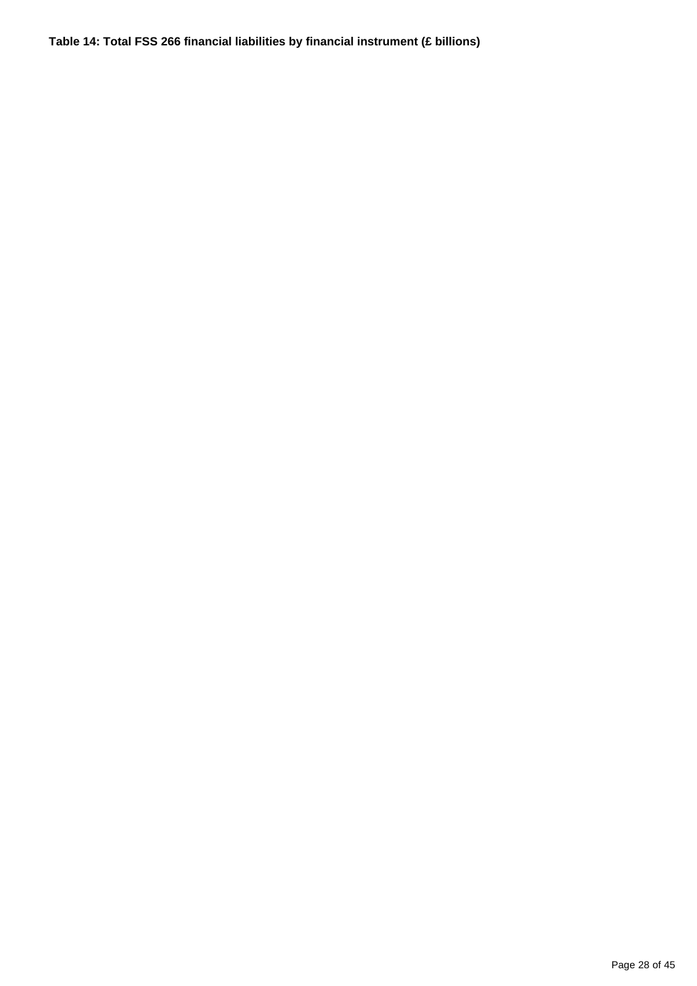**Table 14: Total FSS 266 financial liabilities by financial instrument (£ billions)**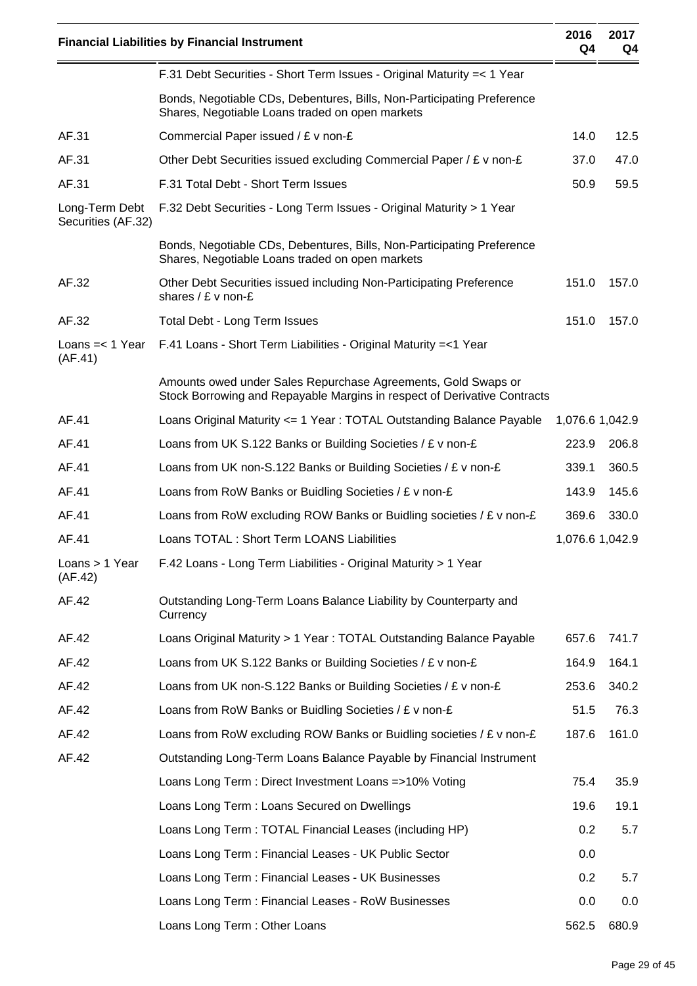|                                      | <b>Financial Liabilities by Financial Instrument</b>                                                                                      | 2016<br>Q4      | 2017<br>Q4 |
|--------------------------------------|-------------------------------------------------------------------------------------------------------------------------------------------|-----------------|------------|
|                                      | F.31 Debt Securities - Short Term Issues - Original Maturity = < 1 Year                                                                   |                 |            |
|                                      | Bonds, Negotiable CDs, Debentures, Bills, Non-Participating Preference<br>Shares, Negotiable Loans traded on open markets                 |                 |            |
| AF.31                                | Commercial Paper issued / £ v non-£                                                                                                       | 14.0            | 12.5       |
| AF.31                                | Other Debt Securities issued excluding Commercial Paper / £ v non-£                                                                       | 37.0            | 47.0       |
| AF.31                                | F.31 Total Debt - Short Term Issues                                                                                                       | 50.9            | 59.5       |
| Long-Term Debt<br>Securities (AF.32) | F.32 Debt Securities - Long Term Issues - Original Maturity > 1 Year                                                                      |                 |            |
|                                      | Bonds, Negotiable CDs, Debentures, Bills, Non-Participating Preference<br>Shares, Negotiable Loans traded on open markets                 |                 |            |
| AF.32                                | Other Debt Securities issued including Non-Participating Preference<br>shares $/E$ v non-£                                                | 151.0           | 157.0      |
| AF.32                                | Total Debt - Long Term Issues                                                                                                             | 151.0           | 157.0      |
| Loans $=< 1$ Year<br>(AF.41)         | F.41 Loans - Short Term Liabilities - Original Maturity = < 1 Year                                                                        |                 |            |
|                                      | Amounts owed under Sales Repurchase Agreements, Gold Swaps or<br>Stock Borrowing and Repayable Margins in respect of Derivative Contracts |                 |            |
| AF.41                                | Loans Original Maturity <= 1 Year: TOTAL Outstanding Balance Payable                                                                      | 1,076.6 1,042.9 |            |
| AF.41                                | Loans from UK S.122 Banks or Building Societies / £ v non-£                                                                               | 223.9           | 206.8      |
| AF.41                                | Loans from UK non-S.122 Banks or Building Societies / £ v non-£                                                                           | 339.1           | 360.5      |
| AF.41                                | Loans from RoW Banks or Buidling Societies / £ v non-£                                                                                    | 143.9           | 145.6      |
| AF.41                                | Loans from RoW excluding ROW Banks or Buidling societies / $E$ v non- $E$                                                                 | 369.6           | 330.0      |
| AF.41                                | Loans TOTAL : Short Term LOANS Liabilities                                                                                                | 1,076.6 1,042.9 |            |
| Loans $> 1$ Year<br>(AF.42)          | F.42 Loans - Long Term Liabilities - Original Maturity > 1 Year                                                                           |                 |            |
| AF.42                                | Outstanding Long-Term Loans Balance Liability by Counterparty and<br>Currency                                                             |                 |            |
| AF.42                                | Loans Original Maturity > 1 Year: TOTAL Outstanding Balance Payable                                                                       | 657.6           | 741.7      |
| AF.42                                | Loans from UK S.122 Banks or Building Societies / £ v non-£                                                                               | 164.9           | 164.1      |
| AF.42                                | Loans from UK non-S.122 Banks or Building Societies / £ v non-£                                                                           | 253.6           | 340.2      |
| AF.42                                | Loans from RoW Banks or Buidling Societies / $E$ v non- $E$                                                                               | 51.5            | 76.3       |
| AF.42                                | Loans from RoW excluding ROW Banks or Buidling societies / $E$ v non- $E$                                                                 | 187.6           | 161.0      |
| AF.42                                | Outstanding Long-Term Loans Balance Payable by Financial Instrument                                                                       |                 |            |
|                                      | Loans Long Term: Direct Investment Loans =>10% Voting                                                                                     | 75.4            | 35.9       |
|                                      | Loans Long Term: Loans Secured on Dwellings                                                                                               | 19.6            | 19.1       |
|                                      | Loans Long Term: TOTAL Financial Leases (including HP)                                                                                    | 0.2             | 5.7        |
|                                      | Loans Long Term: Financial Leases - UK Public Sector                                                                                      | 0.0             |            |
|                                      | Loans Long Term: Financial Leases - UK Businesses                                                                                         | 0.2             | 5.7        |
|                                      | Loans Long Term: Financial Leases - RoW Businesses                                                                                        | 0.0             | 0.0        |
|                                      | Loans Long Term: Other Loans                                                                                                              | 562.5           | 680.9      |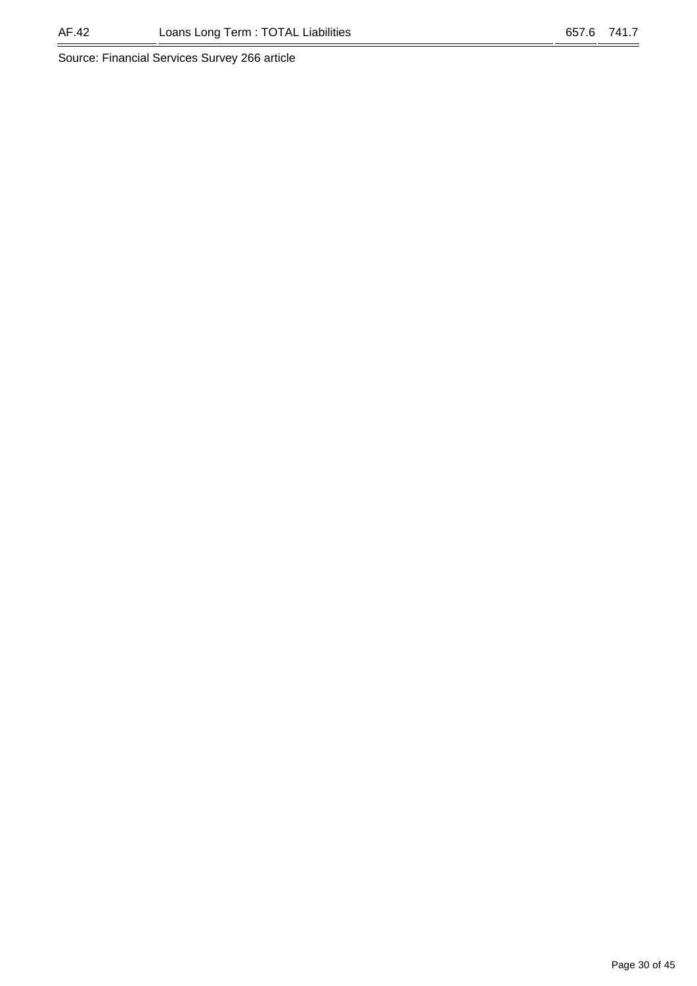#### AF.42 Loans Long Term : TOTAL Liabilities 657.6 741.7

Source: Financial Services Survey 266 article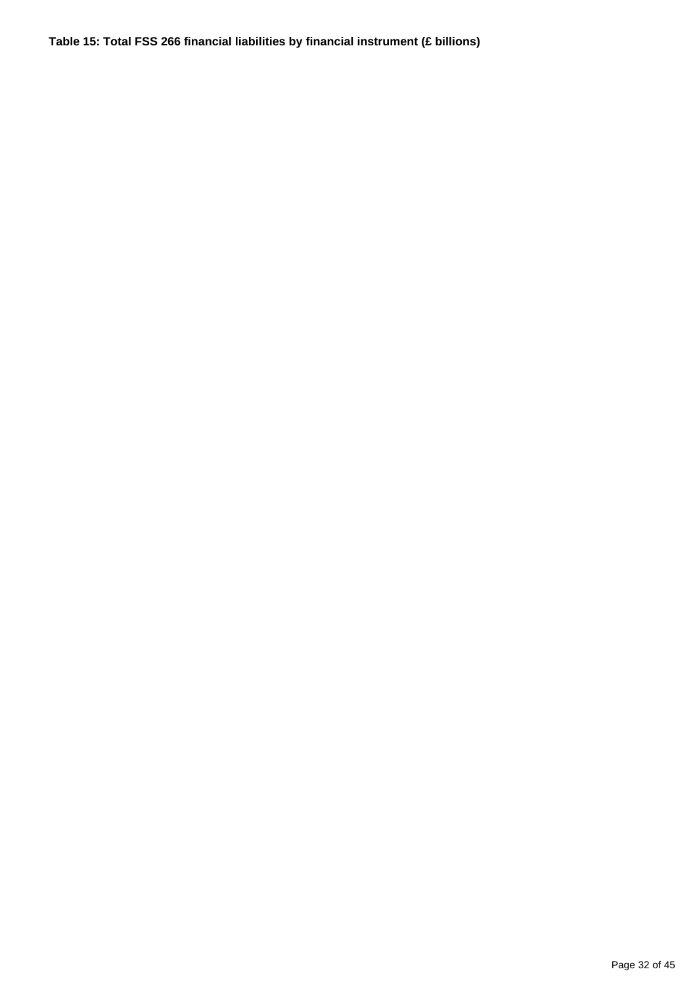**Table 15: Total FSS 266 financial liabilities by financial instrument (£ billions)**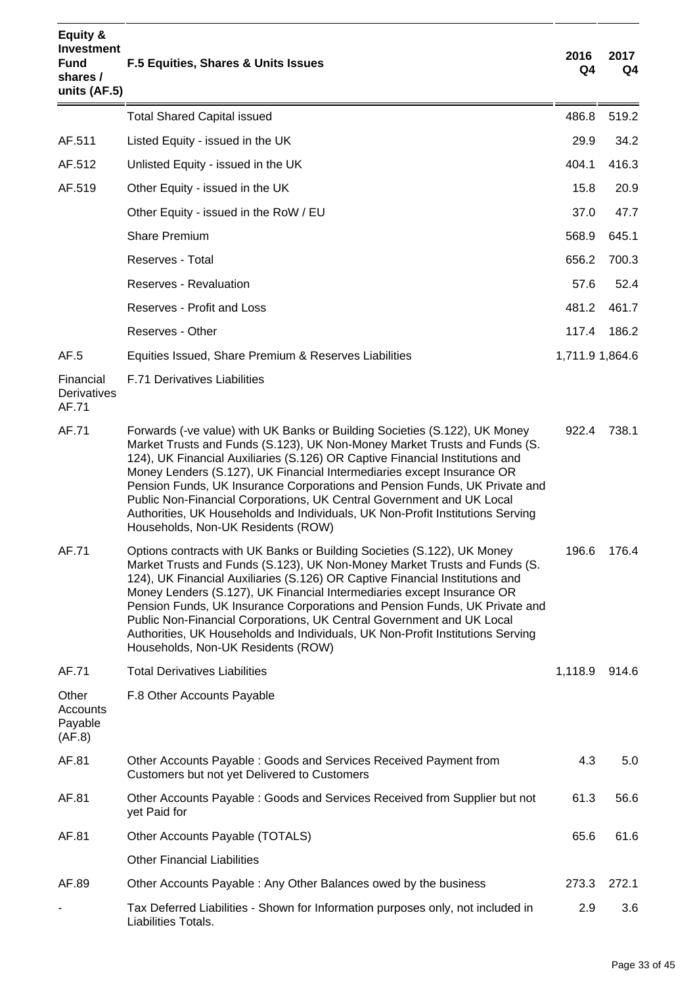| Equity &<br><b>Investment</b><br><b>Fund</b><br>shares /<br>units (AF.5) | F.5 Equities, Shares & Units Issues                                                                                                                                                                                                                                                                                                                                                                                                                                                                                                                                                              | 2016<br>Q4      | 2017<br>Q4 |
|--------------------------------------------------------------------------|--------------------------------------------------------------------------------------------------------------------------------------------------------------------------------------------------------------------------------------------------------------------------------------------------------------------------------------------------------------------------------------------------------------------------------------------------------------------------------------------------------------------------------------------------------------------------------------------------|-----------------|------------|
|                                                                          | <b>Total Shared Capital issued</b>                                                                                                                                                                                                                                                                                                                                                                                                                                                                                                                                                               | 486.8           | 519.2      |
| AF.511                                                                   | Listed Equity - issued in the UK                                                                                                                                                                                                                                                                                                                                                                                                                                                                                                                                                                 | 29.9            | 34.2       |
| AF.512                                                                   | Unlisted Equity - issued in the UK                                                                                                                                                                                                                                                                                                                                                                                                                                                                                                                                                               | 404.1           | 416.3      |
| AF.519                                                                   | Other Equity - issued in the UK                                                                                                                                                                                                                                                                                                                                                                                                                                                                                                                                                                  | 15.8            | 20.9       |
|                                                                          | Other Equity - issued in the RoW / EU                                                                                                                                                                                                                                                                                                                                                                                                                                                                                                                                                            | 37.0            | 47.7       |
|                                                                          | <b>Share Premium</b>                                                                                                                                                                                                                                                                                                                                                                                                                                                                                                                                                                             | 568.9           | 645.1      |
|                                                                          | Reserves - Total                                                                                                                                                                                                                                                                                                                                                                                                                                                                                                                                                                                 | 656.2           | 700.3      |
|                                                                          | Reserves - Revaluation                                                                                                                                                                                                                                                                                                                                                                                                                                                                                                                                                                           | 57.6            | 52.4       |
|                                                                          | <b>Reserves - Profit and Loss</b>                                                                                                                                                                                                                                                                                                                                                                                                                                                                                                                                                                | 481.2           | 461.7      |
|                                                                          | Reserves - Other                                                                                                                                                                                                                                                                                                                                                                                                                                                                                                                                                                                 | 117.4           | 186.2      |
| AF.5                                                                     | Equities Issued, Share Premium & Reserves Liabilities                                                                                                                                                                                                                                                                                                                                                                                                                                                                                                                                            | 1,711.9 1,864.6 |            |
| Financial<br>Derivatives<br>AF.71                                        | <b>F.71 Derivatives Liabilities</b>                                                                                                                                                                                                                                                                                                                                                                                                                                                                                                                                                              |                 |            |
| AF.71                                                                    | Forwards (-ve value) with UK Banks or Building Societies (S.122), UK Money<br>Market Trusts and Funds (S.123), UK Non-Money Market Trusts and Funds (S.<br>124), UK Financial Auxiliaries (S.126) OR Captive Financial Institutions and<br>Money Lenders (S.127), UK Financial Intermediaries except Insurance OR<br>Pension Funds, UK Insurance Corporations and Pension Funds, UK Private and<br>Public Non-Financial Corporations, UK Central Government and UK Local<br>Authorities, UK Households and Individuals, UK Non-Profit Institutions Serving<br>Households, Non-UK Residents (ROW) | 922.4           | 738.1      |
| AF.71                                                                    | Options contracts with UK Banks or Building Societies (S.122), UK Money<br>Market Trusts and Funds (S.123), UK Non-Money Market Trusts and Funds (S.<br>124), UK Financial Auxiliaries (S.126) OR Captive Financial Institutions and<br>Money Lenders (S.127), UK Financial Intermediaries except Insurance OR<br>Pension Funds, UK Insurance Corporations and Pension Funds, UK Private and<br>Public Non-Financial Corporations, UK Central Government and UK Local<br>Authorities, UK Households and Individuals, UK Non-Profit Institutions Serving<br>Households, Non-UK Residents (ROW)    | 196.6           | 176.4      |
| AF.71                                                                    | <b>Total Derivatives Liabilities</b>                                                                                                                                                                                                                                                                                                                                                                                                                                                                                                                                                             | 1,118.9         | 914.6      |
| Other<br>Accounts<br>Payable<br>(AF.8)                                   | F.8 Other Accounts Payable                                                                                                                                                                                                                                                                                                                                                                                                                                                                                                                                                                       |                 |            |
| AF.81                                                                    | Other Accounts Payable: Goods and Services Received Payment from<br>Customers but not yet Delivered to Customers                                                                                                                                                                                                                                                                                                                                                                                                                                                                                 | 4.3             | 5.0        |
| AF.81                                                                    | Other Accounts Payable: Goods and Services Received from Supplier but not<br>yet Paid for                                                                                                                                                                                                                                                                                                                                                                                                                                                                                                        | 61.3            | 56.6       |
| AF.81                                                                    | Other Accounts Payable (TOTALS)                                                                                                                                                                                                                                                                                                                                                                                                                                                                                                                                                                  | 65.6            | 61.6       |
|                                                                          | <b>Other Financial Liabilities</b>                                                                                                                                                                                                                                                                                                                                                                                                                                                                                                                                                               |                 |            |
| AF.89                                                                    | Other Accounts Payable: Any Other Balances owed by the business                                                                                                                                                                                                                                                                                                                                                                                                                                                                                                                                  | 273.3           | 272.1      |
|                                                                          | Tax Deferred Liabilities - Shown for Information purposes only, not included in<br>Liabilities Totals.                                                                                                                                                                                                                                                                                                                                                                                                                                                                                           | 2.9             | 3.6        |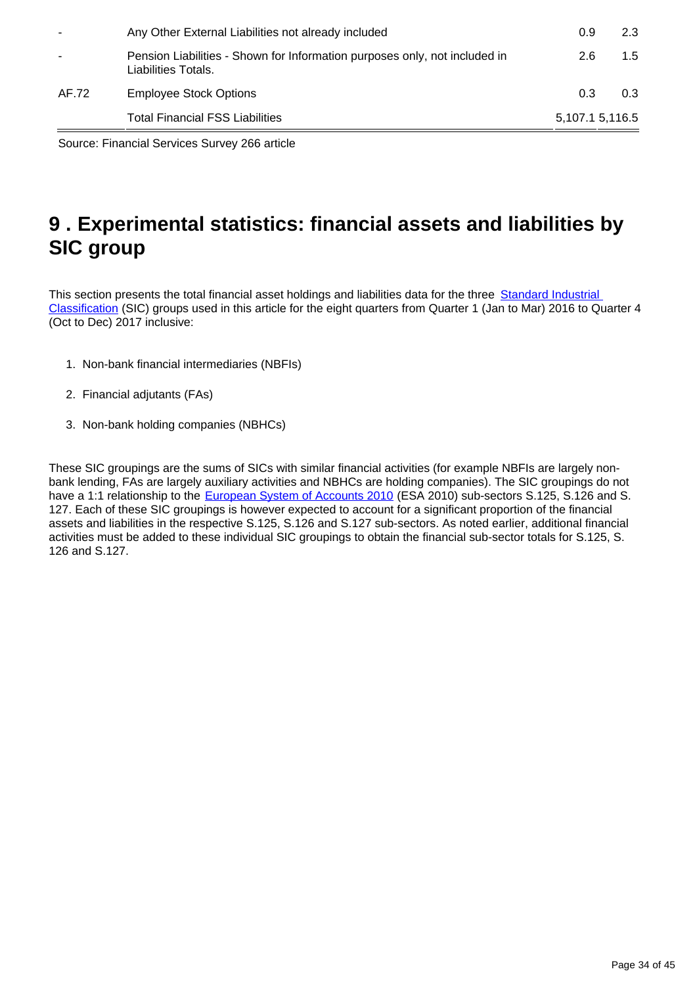|                          | <b>Total Financial FSS Liabilities</b>                                                            | 5,107.1 5,116.5 |     |
|--------------------------|---------------------------------------------------------------------------------------------------|-----------------|-----|
| AF.72                    | <b>Employee Stock Options</b>                                                                     | 0.3             | 0.3 |
|                          | Pension Liabilities - Shown for Information purposes only, not included in<br>Liabilities Totals. | 2.6             | 1.5 |
| $\overline{\phantom{a}}$ | Any Other External Liabilities not already included                                               | 0.9             | 2.3 |

Source: Financial Services Survey 266 article

## <span id="page-33-0"></span>**9 . Experimental statistics: financial assets and liabilities by SIC group**

This section presents the total financial asset holdings and liabilities data for the three Standard Industrial [Classification](https://www.ons.gov.uk/methodology/classificationsandstandards/ukstandardindustrialclassificationofeconomicactivities/uksic2007) (SIC) groups used in this article for the eight quarters from Quarter 1 (Jan to Mar) 2016 to Quarter 4 (Oct to Dec) 2017 inclusive:

- 1. Non-bank financial intermediaries (NBFIs)
- 2. Financial adjutants (FAs)
- 3. Non-bank holding companies (NBHCs)

These SIC groupings are the sums of SICs with similar financial activities (for example NBFIs are largely nonbank lending, FAs are largely auxiliary activities and NBHCs are holding companies). The SIC groupings do not have a 1:1 relationship to the [European System of Accounts 2010](http://ec.europa.eu/eurostat/web/esa-2010) (ESA 2010) sub-sectors S.125, S.126 and S. 127. Each of these SIC groupings is however expected to account for a significant proportion of the financial assets and liabilities in the respective S.125, S.126 and S.127 sub-sectors. As noted earlier, additional financial activities must be added to these individual SIC groupings to obtain the financial sub-sector totals for S.125, S. 126 and S.127.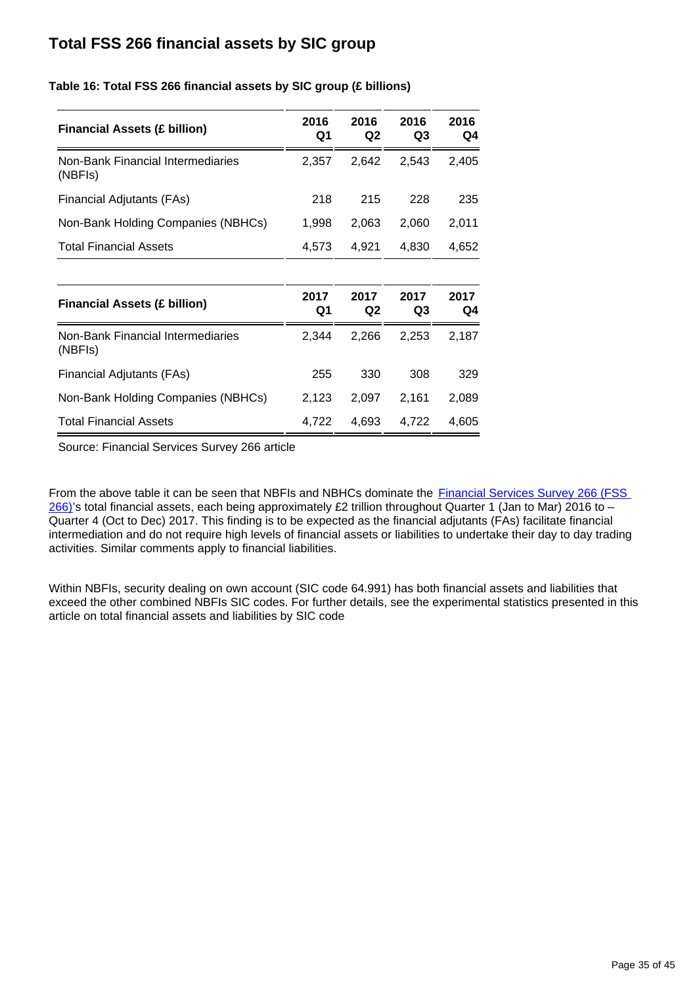## **Total FSS 266 financial assets by SIC group**

| <b>Financial Assets (£ billion)</b>          | 2016<br>Q1 | 2016<br>Q <sub>2</sub> | 2016<br>Q3 | 2016<br>Q4 |
|----------------------------------------------|------------|------------------------|------------|------------|
| Non-Bank Financial Intermediaries<br>(NBFIs) | 2,357      | 2,642                  | 2,543      | 2,405      |
| Financial Adjutants (FAs)                    | 218        | 215                    | 228        | 235        |
| Non-Bank Holding Companies (NBHCs)           | 1,998      | 2,063                  | 2,060      | 2,011      |
| <b>Total Financial Assets</b>                | 4,573      | 4,921                  | 4,830      | 4,652      |
|                                              |            |                        |            |            |
| <b>Financial Assets (£ billion)</b>          | 2017<br>Q1 | 2017<br>Q <sub>2</sub> | 2017<br>Q3 | 2017<br>Q4 |
| Non-Bank Financial Intermediaries<br>(NBFIs) | 2,344      | 2,266                  | 2,253      | 2,187      |
| Financial Adjutants (FAs)                    | 255        | 330                    | 308        | 329        |
| Non-Bank Holding Companies (NBHCs)           | 2,123      | 2,097                  | 2,161      | 2,089      |
| <b>Total Financial Assets</b>                | 4,722      | 4,693                  | 4,722      | 4,605      |

**Table 16: Total FSS 266 financial assets by SIC group (£ billions)**

Source: Financial Services Survey 266 article

From the above table it can be seen that NBFIs and NBHCs dominate the Financial Services Survey 266 (FSS  $266$ )'s total financial assets, each being approximately £2 trillion throughout Quarter 1 (Jan to Mar) 2016 to – Quarter 4 (Oct to Dec) 2017. This finding is to be expected as the financial adjutants (FAs) facilitate financial intermediation and do not require high levels of financial assets or liabilities to undertake their day to day trading activities. Similar comments apply to financial liabilities.

Within NBFIs, security dealing on own account (SIC code 64.991) has both financial assets and liabilities that exceed the other combined NBFIs SIC codes. For further details, see the experimental statistics presented in this article on total financial assets and liabilities by SIC code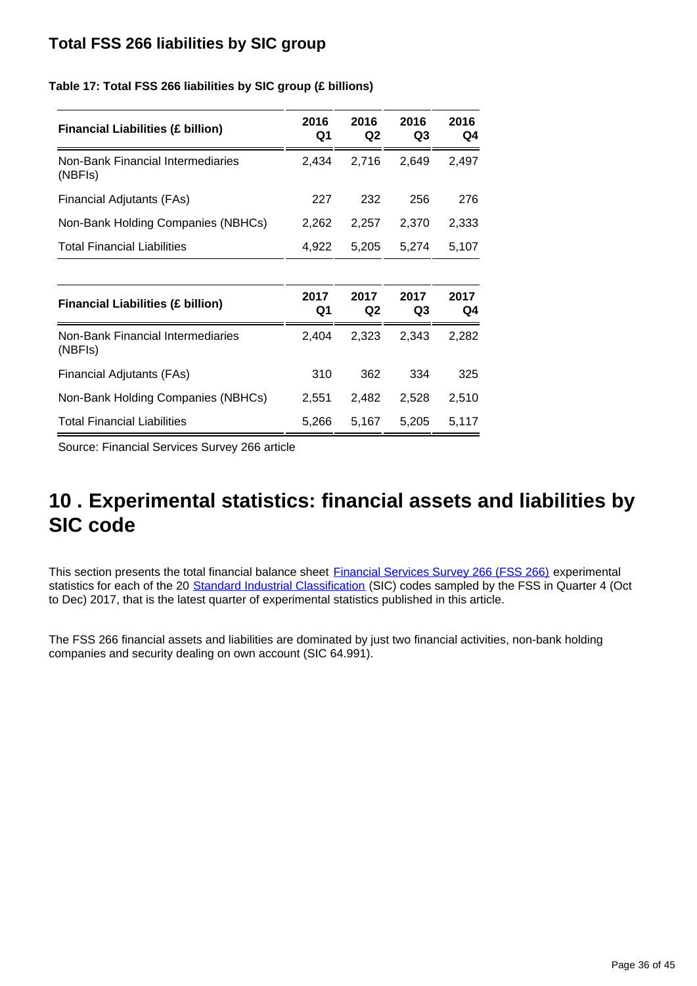## **Total FSS 266 liabilities by SIC group**

**Table 17: Total FSS 266 liabilities by SIC group (£ billions)**

| <b>Financial Liabilities (£ billion)</b>     | 2016<br>Q1 | 2016<br>Q <sub>2</sub> | 2016<br>Q3 | 2016<br>Q4 |
|----------------------------------------------|------------|------------------------|------------|------------|
| Non-Bank Financial Intermediaries<br>(NBFIs) | 2,434      | 2,716                  | 2,649      | 2,497      |
| Financial Adjutants (FAs)                    | 227        | 232                    | 256        | 276        |
| Non-Bank Holding Companies (NBHCs)           | 2,262      | 2,257                  | 2,370      | 2,333      |
| <b>Total Financial Liabilities</b>           | 4,922      | 5,205                  | 5,274      | 5,107      |
|                                              |            |                        |            |            |
| <b>Financial Liabilities (£ billion)</b>     | 2017<br>Q1 | 2017<br>Q2             | 2017<br>Q3 | 2017<br>Q4 |
| Non-Bank Financial Intermediaries<br>(NBFIs) | 2,404      | 2,323                  | 2,343      | 2,282      |
| Financial Adjutants (FAs)                    | 310        | 362                    | 334        | 325        |
| Non-Bank Holding Companies (NBHCs)           | 2,551      | 2,482                  | 2,528      | 2,510      |
| <b>Total Financial Liabilities</b>           | 5,266      | 5,167                  | 5,205      | 5,117      |

Source: Financial Services Survey 266 article

## <span id="page-35-0"></span>**10 . Experimental statistics: financial assets and liabilities by SIC code**

This section presents the total financial balance sheet **Financial Services Survey 266 (FSS 266)** experimental statistics for each of the 20 [Standard Industrial Classification](https://www.ons.gov.uk/methodology/classificationsandstandards/ukstandardindustrialclassificationofeconomicactivities/uksic2007) (SIC) codes sampled by the FSS in Quarter 4 (Oct to Dec) 2017, that is the latest quarter of experimental statistics published in this article.

The FSS 266 financial assets and liabilities are dominated by just two financial activities, non-bank holding companies and security dealing on own account (SIC 64.991).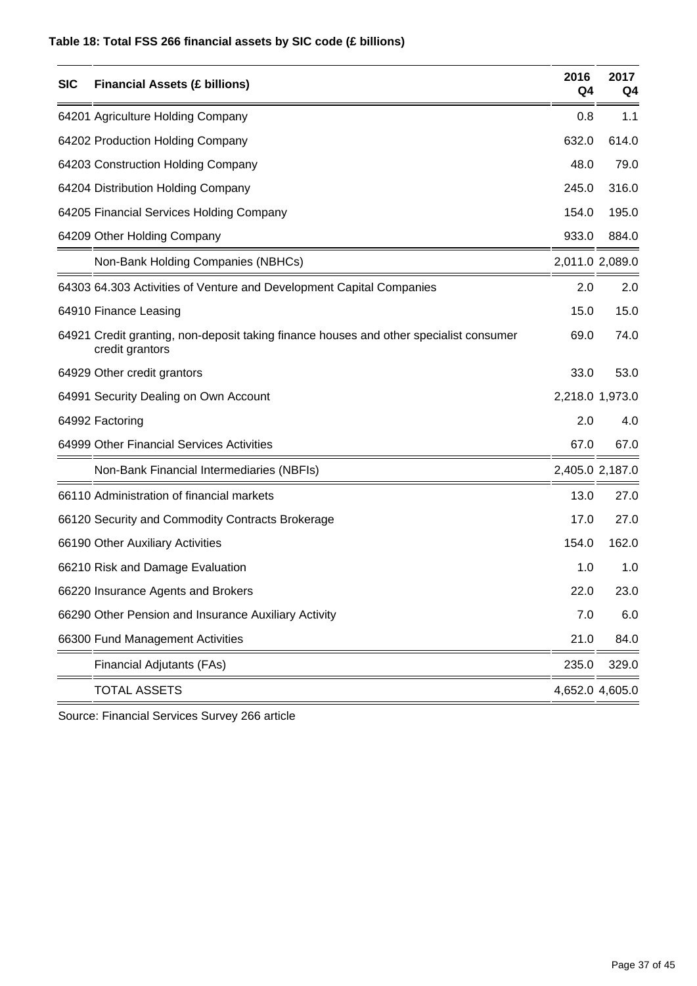### **Table 18: Total FSS 266 financial assets by SIC code (£ billions)**

| <b>SIC</b> | <b>Financial Assets (£ billions)</b>                                                                      | 2016<br>Q4      | 2017<br>Q <sub>4</sub> |
|------------|-----------------------------------------------------------------------------------------------------------|-----------------|------------------------|
|            | 64201 Agriculture Holding Company                                                                         | 0.8             | 1.1                    |
|            | 64202 Production Holding Company                                                                          | 632.0           | 614.0                  |
|            | 64203 Construction Holding Company                                                                        | 48.0            | 79.0                   |
|            | 64204 Distribution Holding Company                                                                        | 245.0           | 316.0                  |
|            | 64205 Financial Services Holding Company                                                                  | 154.0           | 195.0                  |
|            | 64209 Other Holding Company                                                                               | 933.0           | 884.0                  |
|            | Non-Bank Holding Companies (NBHCs)                                                                        | 2,011.0 2,089.0 |                        |
|            | 64303 64.303 Activities of Venture and Development Capital Companies                                      | 2.0             | 2.0                    |
|            | 64910 Finance Leasing                                                                                     | 15.0            | 15.0                   |
|            | 64921 Credit granting, non-deposit taking finance houses and other specialist consumer<br>credit grantors | 69.0            | 74.0                   |
|            | 64929 Other credit grantors                                                                               | 33.0            | 53.0                   |
|            | 64991 Security Dealing on Own Account                                                                     |                 | 2,218.0 1,973.0        |
|            | 64992 Factoring                                                                                           | 2.0             | 4.0                    |
|            | 64999 Other Financial Services Activities                                                                 | 67.0            | 67.0                   |
|            | Non-Bank Financial Intermediaries (NBFIs)                                                                 | 2,405.0 2,187.0 |                        |
|            | 66110 Administration of financial markets                                                                 | 13.0            | 27.0                   |
|            | 66120 Security and Commodity Contracts Brokerage                                                          | 17.0            | 27.0                   |
|            | 66190 Other Auxiliary Activities                                                                          | 154.0           | 162.0                  |
|            | 66210 Risk and Damage Evaluation                                                                          | 1.0             | 1.0                    |
|            | 66220 Insurance Agents and Brokers                                                                        | 22.0            | 23.0                   |
|            | 66290 Other Pension and Insurance Auxiliary Activity                                                      | 7.0             | 6.0                    |
|            | 66300 Fund Management Activities                                                                          | 21.0            | 84.0                   |
|            | Financial Adjutants (FAs)                                                                                 | 235.0           | 329.0                  |
|            | <b>TOTAL ASSETS</b>                                                                                       |                 | 4,652.0 4,605.0        |

Source: Financial Services Survey 266 article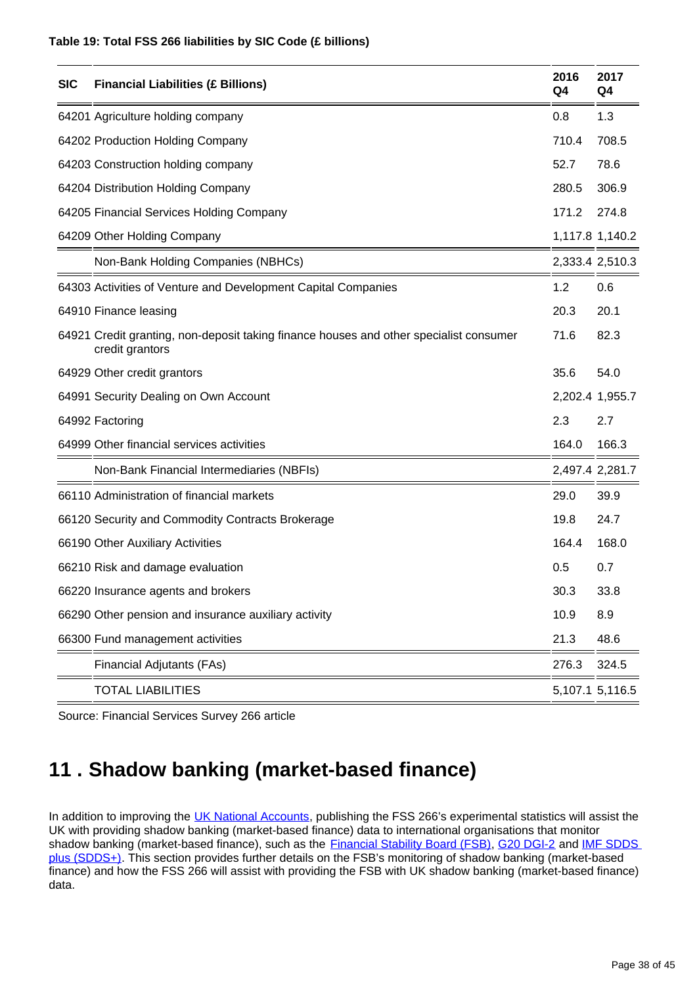#### **Table 19: Total FSS 266 liabilities by SIC Code (£ billions)**

| <b>SIC</b> | <b>Financial Liabilities (£ Billions)</b>                                                                 | 2016<br>Q4 | 2017<br>Q4      |
|------------|-----------------------------------------------------------------------------------------------------------|------------|-----------------|
|            | 64201 Agriculture holding company                                                                         | 0.8        | 1.3             |
|            | 64202 Production Holding Company                                                                          | 710.4      | 708.5           |
|            | 64203 Construction holding company                                                                        | 52.7       | 78.6            |
|            | 64204 Distribution Holding Company                                                                        | 280.5      | 306.9           |
|            | 64205 Financial Services Holding Company                                                                  | 171.2      | 274.8           |
|            | 64209 Other Holding Company                                                                               |            | 1,117.8 1,140.2 |
|            | Non-Bank Holding Companies (NBHCs)                                                                        |            | 2,333.4 2,510.3 |
|            | 64303 Activities of Venture and Development Capital Companies                                             | 1.2        | 0.6             |
|            | 64910 Finance leasing                                                                                     | 20.3       | 20.1            |
|            | 64921 Credit granting, non-deposit taking finance houses and other specialist consumer<br>credit grantors | 71.6       | 82.3            |
|            | 64929 Other credit grantors                                                                               | 35.6       | 54.0            |
|            | 64991 Security Dealing on Own Account                                                                     |            | 2,202.4 1,955.7 |
|            | 64992 Factoring                                                                                           | 2.3        | 2.7             |
|            | 64999 Other financial services activities                                                                 | 164.0      | 166.3           |
|            | Non-Bank Financial Intermediaries (NBFIs)                                                                 |            | 2,497.4 2,281.7 |
|            | 66110 Administration of financial markets                                                                 | 29.0       | 39.9            |
|            | 66120 Security and Commodity Contracts Brokerage                                                          | 19.8       | 24.7            |
|            | 66190 Other Auxiliary Activities                                                                          | 164.4      | 168.0           |
|            | 66210 Risk and damage evaluation                                                                          | 0.5        | 0.7             |
|            | 66220 Insurance agents and brokers                                                                        | 30.3       | 33.8            |
|            | 66290 Other pension and insurance auxiliary activity                                                      | 10.9       | 8.9             |
|            | 66300 Fund management activities                                                                          | 21.3       | 48.6            |
|            | Financial Adjutants (FAs)                                                                                 | 276.3      | 324.5           |
|            | <b>TOTAL LIABILITIES</b>                                                                                  |            | 5,107.1 5,116.5 |

Source: Financial Services Survey 266 article

## <span id="page-37-0"></span>**11 . Shadow banking (market-based finance)**

In addition to improving the [UK National Accounts](https://www.ons.gov.uk/releases/uknationalaccountsthebluebook2017), publishing the FSS 266's experimental statistics will assist the UK with providing shadow banking (market-based finance) data to international organisations that monitor shadow banking (market-based finance), such as the **Financial Stability Board (FSB)**, [G20 DGI-2](http://www.imf.org/external/np/seminars/eng/dgi/index.htm) and IMF SDDS [plus \(SDDS+\).](https://dsbb.imf.org/) This section provides further details on the FSB's monitoring of shadow banking (market-based finance) and how the FSS 266 will assist with providing the FSB with UK shadow banking (market-based finance) data.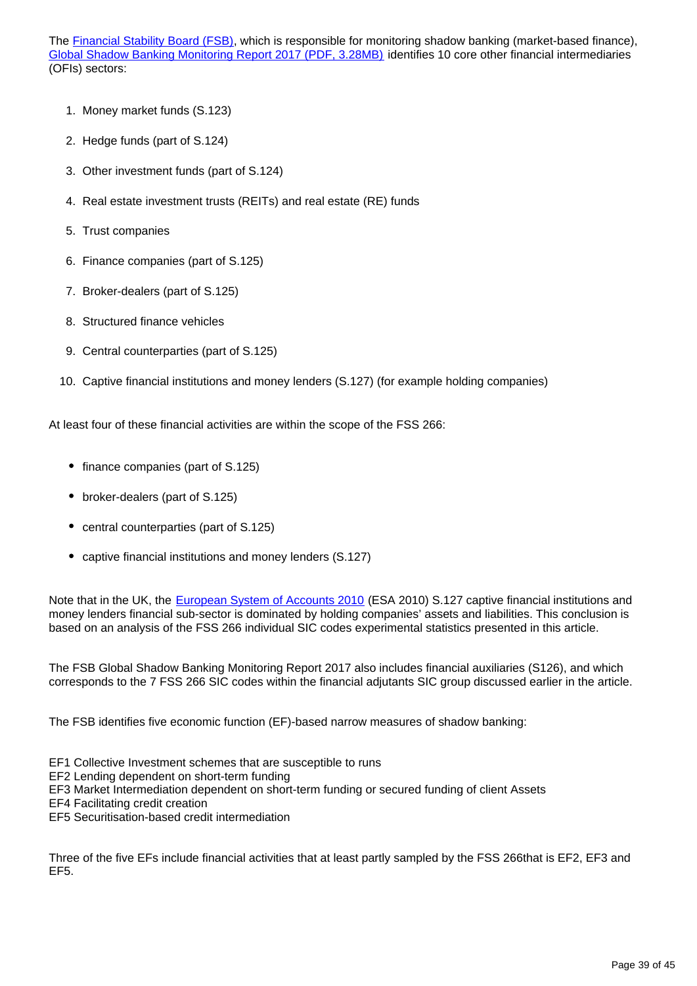The **Financial Stability Board (FSB)**, which is responsible for monitoring shadow banking (market-based finance), [Global Shadow Banking Monitoring Report 2017 \(PDF, 3.28MB\)](http://www.fsb.org/wp-content/uploads/P050318-1.pdf) identifies 10 core other financial intermediaries (OFIs) sectors:

- 1. Money market funds (S.123)
- 2. Hedge funds (part of S.124)
- 3. Other investment funds (part of S.124)
- 4. Real estate investment trusts (REITs) and real estate (RE) funds
- 5. Trust companies
- 6. Finance companies (part of S.125)
- 7. Broker-dealers (part of S.125)
- 8. Structured finance vehicles
- 9. Central counterparties (part of S.125)
- 10. Captive financial institutions and money lenders (S.127) (for example holding companies)

At least four of these financial activities are within the scope of the FSS 266:

- finance companies (part of S.125)
- broker-dealers (part of S.125)
- central counterparties (part of S.125)
- captive financial institutions and money lenders (S.127)

Note that in the UK, the [European System of Accounts 2010](http://ec.europa.eu/eurostat/web/esa-2010) (ESA 2010) S.127 captive financial institutions and money lenders financial sub-sector is dominated by holding companies' assets and liabilities. This conclusion is based on an analysis of the FSS 266 individual SIC codes experimental statistics presented in this article.

The FSB Global Shadow Banking Monitoring Report 2017 also includes financial auxiliaries (S126), and which corresponds to the 7 FSS 266 SIC codes within the financial adjutants SIC group discussed earlier in the article.

The FSB identifies five economic function (EF)-based narrow measures of shadow banking:

- EF1 Collective Investment schemes that are susceptible to runs
- EF2 Lending dependent on short-term funding
- EF3 Market Intermediation dependent on short-term funding or secured funding of client Assets
- EF4 Facilitating credit creation
- EF5 Securitisation-based credit intermediation

Three of the five EFs include financial activities that at least partly sampled by the FSS 266that is EF2, EF3 and EF5.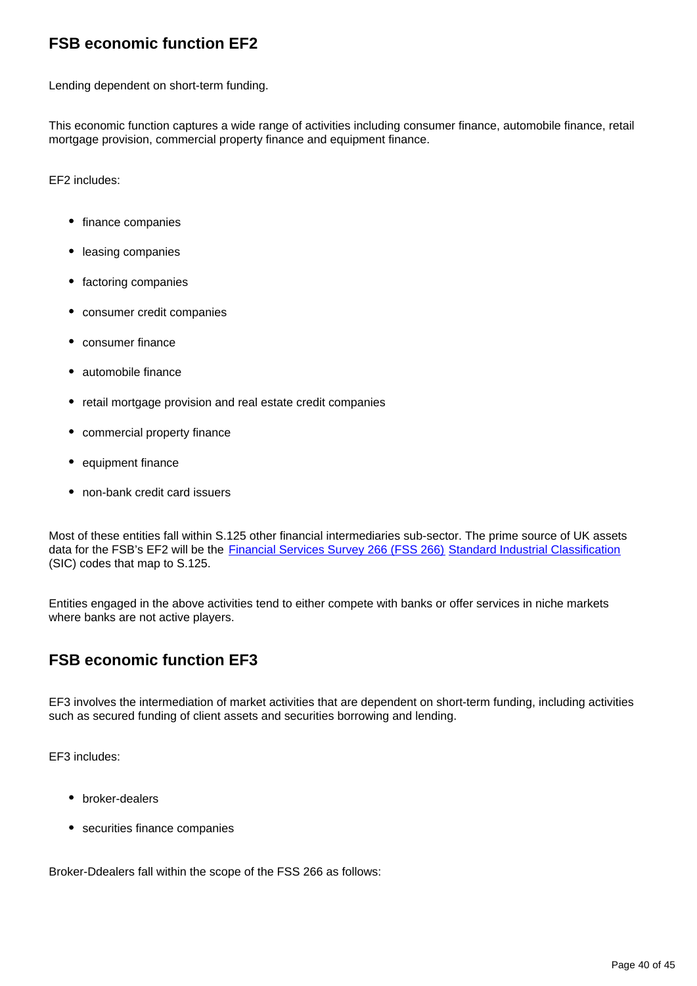## **FSB economic function EF2**

Lending dependent on short-term funding.

This economic function captures a wide range of activities including consumer finance, automobile finance, retail mortgage provision, commercial property finance and equipment finance.

EF2 includes:

- finance companies
- leasing companies
- factoring companies
- consumer credit companies
- consumer finance
- automobile finance
- retail mortgage provision and real estate credit companies
- commercial property finance
- equipment finance
- non-bank credit card issuers

Most of these entities fall within S.125 other financial intermediaries sub-sector. The prime source of UK assets data for the FSB's EF2 will be the [Financial Services Survey 266 \(FSS 266\)](https://www.ons.gov.uk/surveys/informationforbusinesses/businesssurveys/financialservicessurvey) [Standard Industrial Classification](https://www.ons.gov.uk/methodology/classificationsandstandards/ukstandardindustrialclassificationofeconomicactivities/uksic2007) (SIC) codes that map to S.125.

Entities engaged in the above activities tend to either compete with banks or offer services in niche markets where banks are not active players.

## **FSB economic function EF3**

EF3 involves the intermediation of market activities that are dependent on short-term funding, including activities such as secured funding of client assets and securities borrowing and lending.

EF3 includes:

- broker-dealers
- securities finance companies

Broker-Ddealers fall within the scope of the FSS 266 as follows: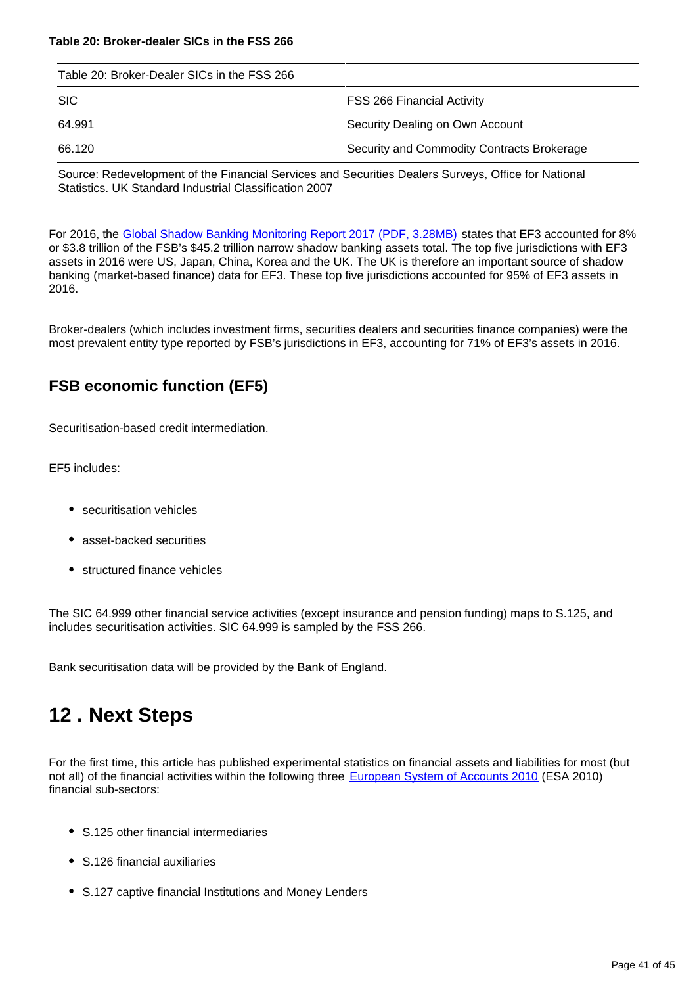| Table 20: Broker-Dealer SICs in the FSS 266 |                                            |  |  |
|---------------------------------------------|--------------------------------------------|--|--|
| <b>SIC</b>                                  | <b>FSS 266 Financial Activity</b>          |  |  |
| 64.991                                      | Security Dealing on Own Account            |  |  |
| 66.120                                      | Security and Commodity Contracts Brokerage |  |  |

Source: Redevelopment of the Financial Services and Securities Dealers Surveys, Office for National Statistics. UK Standard Industrial Classification 2007

For 2016, the [Global Shadow Banking Monitoring Report 2017 \(PDF, 3.28MB\)](http://www.fsb.org/wp-content/uploads/P050318-1.pdf) states that EF3 accounted for 8% or \$3.8 trillion of the FSB's \$45.2 trillion narrow shadow banking assets total. The top five jurisdictions with EF3 assets in 2016 were US, Japan, China, Korea and the UK. The UK is therefore an important source of shadow banking (market-based finance) data for EF3. These top five jurisdictions accounted for 95% of EF3 assets in 2016.

Broker-dealers (which includes investment firms, securities dealers and securities finance companies) were the most prevalent entity type reported by FSB's jurisdictions in EF3, accounting for 71% of EF3's assets in 2016.

### **FSB economic function (EF5)**

Securitisation-based credit intermediation.

EF5 includes:

- securitisation vehicles
- asset-backed securities
- structured finance vehicles

The SIC 64.999 other financial service activities (except insurance and pension funding) maps to S.125, and includes securitisation activities. SIC 64.999 is sampled by the FSS 266.

Bank securitisation data will be provided by the Bank of England.

## <span id="page-40-0"></span>**12 . Next Steps**

For the first time, this article has published experimental statistics on financial assets and liabilities for most (but not all) of the financial activities within the following three [European System of Accounts 2010](http://ec.europa.eu/eurostat/web/esa-2010) (ESA 2010) financial sub-sectors:

- S.125 other financial intermediaries
- S.126 financial auxiliaries
- S.127 captive financial Institutions and Money Lenders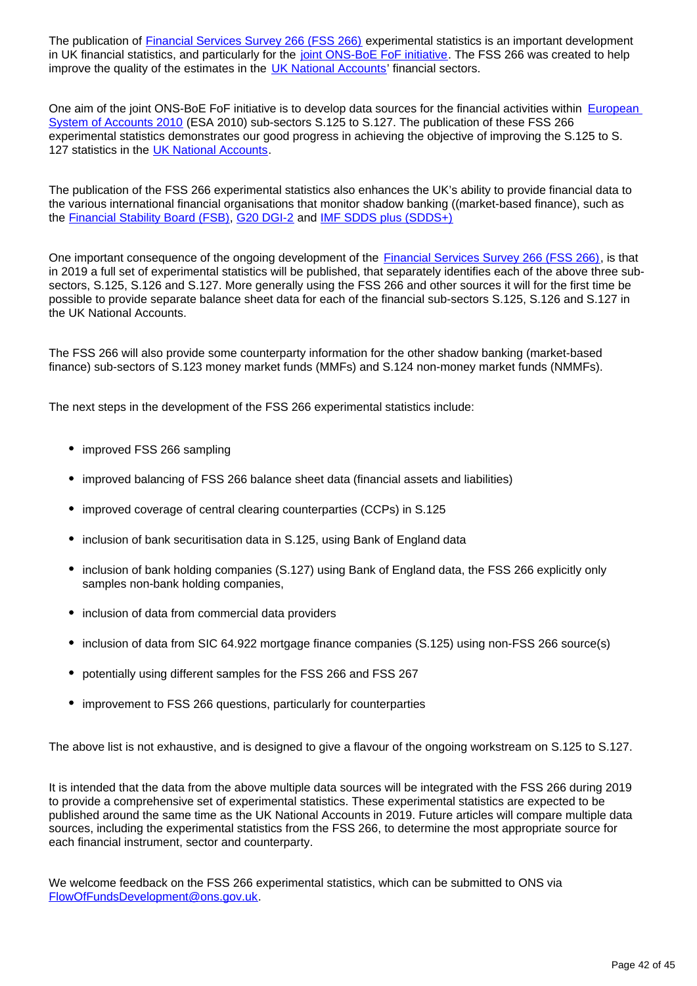The publication of **Financial Services Survey 266 (FSS 266)** experimental statistics is an important development in UK financial statistics, and particularly for the [joint ONS-BoE FoF initiative.](http://webarchive.nationalarchives.gov.uk/20160106021630/http:/www.ons.gov.uk/ons/guide-method/method-quality/specific/economy/national-accounts/changes-to-national-accounts/flow-of-funds--fof-/index.html) The FSS 266 was created to help improve the quality of the estimates in the [UK National Accounts](https://www.ons.gov.uk/releases/uknationalaccountsthebluebook2017)' financial sectors.

One aim of the joint ONS-BoE FoF initiative is to develop data sources for the financial activities within **European** [System of Accounts 2010](http://ec.europa.eu/eurostat/web/esa-2010) (ESA 2010) sub-sectors S.125 to S.127. The publication of these FSS 266 experimental statistics demonstrates our good progress in achieving the objective of improving the S.125 to S. 127 statistics in the [UK National Accounts](https://www.ons.gov.uk/releases/uknationalaccountsthebluebook2017).

The publication of the FSS 266 experimental statistics also enhances the UK's ability to provide financial data to the various international financial organisations that monitor shadow banking ((market-based finance), such as the [Financial Stability Board \(FSB\)](http://www.fsb.org/2018/03/global-shadow-banking-monitoring-report-2017/), [G20 DGI-2](http://www.imf.org/external/np/seminars/eng/dgi/index.htm) and [IMF SDDS plus \(SDDS+\)](https://dsbb.imf.org/)

One important consequence of the ongoing development of the **Financial Services Survey 266 (FSS 266)**, is that in 2019 a full set of experimental statistics will be published, that separately identifies each of the above three subsectors, S.125, S.126 and S.127. More generally using the FSS 266 and other sources it will for the first time be possible to provide separate balance sheet data for each of the financial sub-sectors S.125, S.126 and S.127 in the UK National Accounts.

The FSS 266 will also provide some counterparty information for the other shadow banking (market-based finance) sub-sectors of S.123 money market funds (MMFs) and S.124 non-money market funds (NMMFs).

The next steps in the development of the FSS 266 experimental statistics include:

- improved FSS 266 sampling
- improved balancing of FSS 266 balance sheet data (financial assets and liabilities)
- improved coverage of central clearing counterparties (CCPs) in S.125
- inclusion of bank securitisation data in S.125, using Bank of England data
- inclusion of bank holding companies (S.127) using Bank of England data, the FSS 266 explicitly only samples non-bank holding companies,
- inclusion of data from commercial data providers
- inclusion of data from SIC 64.922 mortgage finance companies (S.125) using non-FSS 266 source(s)
- potentially using different samples for the FSS 266 and FSS 267
- improvement to FSS 266 questions, particularly for counterparties

The above list is not exhaustive, and is designed to give a flavour of the ongoing workstream on S.125 to S.127.

It is intended that the data from the above multiple data sources will be integrated with the FSS 266 during 2019 to provide a comprehensive set of experimental statistics. These experimental statistics are expected to be published around the same time as the UK National Accounts in 2019. Future articles will compare multiple data sources, including the experimental statistics from the FSS 266, to determine the most appropriate source for each financial instrument, sector and counterparty.

We welcome feedback on the FSS 266 experimental statistics, which can be submitted to ONS via FlowOfFundsDevelopment@ons.gov.uk.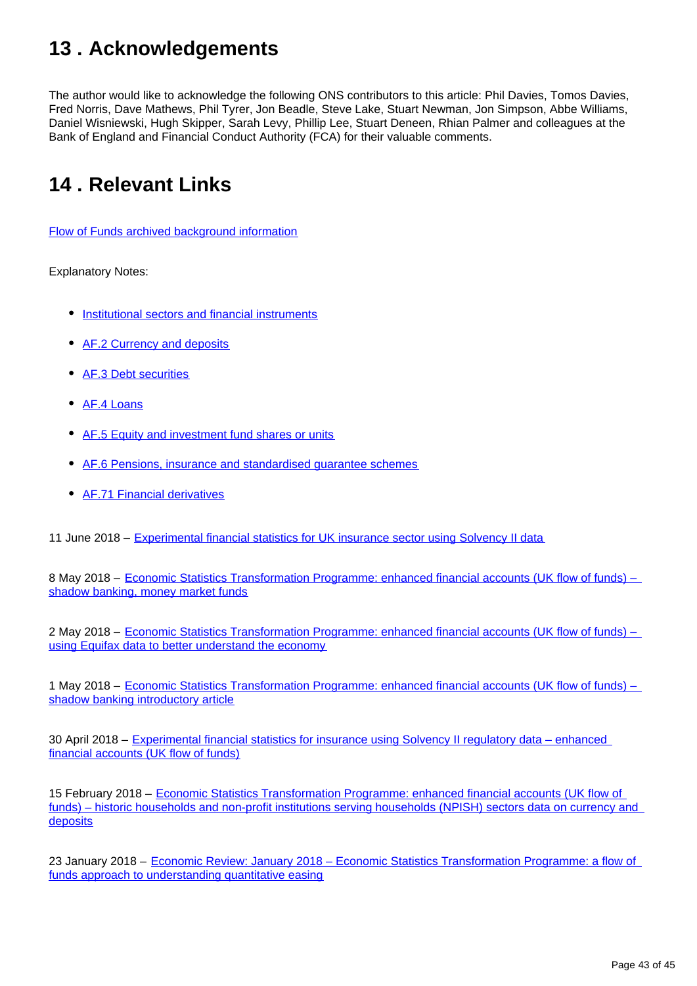## <span id="page-42-0"></span>**13 . Acknowledgements**

The author would like to acknowledge the following ONS contributors to this article: Phil Davies, Tomos Davies, Fred Norris, Dave Mathews, Phil Tyrer, Jon Beadle, Steve Lake, Stuart Newman, Jon Simpson, Abbe Williams, Daniel Wisniewski, Hugh Skipper, Sarah Levy, Phillip Lee, Stuart Deneen, Rhian Palmer and colleagues at the Bank of England and Financial Conduct Authority (FCA) for their valuable comments.

## <span id="page-42-1"></span>**14 . Relevant Links**

[Flow of Funds archived background information](http://webarchive.nationalarchives.gov.uk/20160105160709/http:/www.ons.gov.uk/ons/guide-method/method-quality/specific/economy/national-accounts/changes-to-national-accounts/flow-of-funds--fof-/index.html)

Explanatory Notes:

- [Institutional sectors and financial instruments](https://www.ons.gov.uk/economy/nationalaccounts/uksectoraccounts/methodologies/economicstatisticstransformationprogrammeenhancedfinancialaccountsukflowoffundsinstitutionalsectorsandfinancialinstrumentsexplanatorynotes2016)
- [AF.2 Currency and deposits](https://www.ons.gov.uk/economy/nationalaccounts/uksectoraccounts/methodologies/economicstatisticstransformationprogrammeenhancedfinancialaccountsukflowoffundsexperimentalcurrencyanddepositstatisticsexplanatorynotes2016)
- [AF.3 Debt securities](https://www.ons.gov.uk/economy/nationalaccounts/uksectoraccounts/methodologies/economicstatisticstransformationprogrammeenhancedfinancialaccountsukflowoffundsexperimentaldebtsecuritiesstatisticsexplanatorynotes2016)
- [AF.4 Loans](https://www.ons.gov.uk/economy/nationalaccounts/uksectoraccounts/methodologies/economicstatisticstransformationprogrammeenhancedfinancialaccountsukflowoffundsexperimentalloansstatisticsexplanatorynotes2016)
- [AF.5 Equity and investment fund shares or units](https://www.ons.gov.uk/economy/nationalaccounts/uksectoraccounts/methodologies/economicstatisticstransformationprogrammeenhancedfinancialaccountsukflowoffundsexperimentalequityandinvestmentfundsharesorunitsstatisticsexplanatorynotes2016)
- [AF.6 Pensions, insurance and standardised guarantee schemes](https://www.ons.gov.uk/economy/nationalaccounts/uksectoraccounts/methodologies/economicstatisticstransformationprogrammeenhancedfinancialaccountsukflowoffundsexperimentalinsurancepensionsandstandardisedguaranteeschemesstatisticsexplanatorynotes2016)
- [AF.71 Financial derivatives](https://www.ons.gov.uk/economy/nationalaccounts/uksectoraccounts/methodologies/economicstatisticstransformationprogrammeenhancedfinancialaccountsukflowoffundsexperimentalfinancialderivativesstatisticsexplanatorynotes2016)

11 June 2018 – [Experimental financial statistics for UK insurance sector using Solvency II data](http://www.solvencyiiwire.com/experimental-financial-statistics-for-uk-insurance-sector-using-solvency-ii-data/1588109)

8 May 2018 – [Economic Statistics Transformation Programme: enhanced financial accounts \(UK flow of funds\) –](https://www.ons.gov.uk/economy/nationalaccounts/uksectoraccounts/articles/economicstatisticstransformationprogrammeenhancedfinancialaccountsukflowoffundsshadowbankingmoneymarketfunds/2018-05-08)  [shadow banking, money market funds](https://www.ons.gov.uk/economy/nationalaccounts/uksectoraccounts/articles/economicstatisticstransformationprogrammeenhancedfinancialaccountsukflowoffundsshadowbankingmoneymarketfunds/2018-05-08)

2 May 2018 – Economic Statistics Transformation Programme: enhanced financial accounts (UK flow of funds) – [using Equifax data to better understand the economy](https://www.ons.gov.uk/releases/experimentalstatisticsoncommercialdatafromequifax)

1 May 2018 – [Economic Statistics Transformation Programme: enhanced financial accounts \(UK flow of funds\) –](https://www.ons.gov.uk/economy/nationalaccounts/uksectoraccounts/articles/economicstatisticstransformationprogrammeenhancedfinancialaccountsukflowoffundsshadowbankingintroductoryarticle/2018-05-01)  [shadow banking introductory article](https://www.ons.gov.uk/economy/nationalaccounts/uksectoraccounts/articles/economicstatisticstransformationprogrammeenhancedfinancialaccountsukflowoffundsshadowbankingintroductoryarticle/2018-05-01)

30 April 2018 – [Experimental financial statistics for insurance using Solvency II regulatory data – enhanced](https://www.ons.gov.uk/economy/nationalaccounts/uksectoraccounts/articles/experimentalfinancialstatisticsforinsuranceusingsolvencyiiregulatorydataenhancedfinancialaccountsukflowoffunds/2018-04-30)  [financial accounts \(UK flow of funds\)](https://www.ons.gov.uk/economy/nationalaccounts/uksectoraccounts/articles/experimentalfinancialstatisticsforinsuranceusingsolvencyiiregulatorydataenhancedfinancialaccountsukflowoffunds/2018-04-30)

15 February 2018 – [Economic Statistics Transformation Programme: enhanced financial accounts \(UK flow of](https://www.ons.gov.uk/economy/nationalaccounts/uksectoraccounts/articles/economicstatisticstransformationprogramme/historichouseholdsandnonprofitinstitutionsservinghouseholdsnpishsectorsdataoncurrencyanddeposits)  [funds\) – historic households and non-profit institutions serving households \(NPISH\) sectors data on currency and](https://www.ons.gov.uk/economy/nationalaccounts/uksectoraccounts/articles/economicstatisticstransformationprogramme/historichouseholdsandnonprofitinstitutionsservinghouseholdsnpishsectorsdataoncurrencyanddeposits)  [deposits](https://www.ons.gov.uk/economy/nationalaccounts/uksectoraccounts/articles/economicstatisticstransformationprogramme/historichouseholdsandnonprofitinstitutionsservinghouseholdsnpishsectorsdataoncurrencyanddeposits)

23 January 2018 – [Economic Review: January 2018 – Economic Statistics Transformation Programme: a flow of](https://www.ons.gov.uk/economy/nationalaccounts/uksectoraccounts/articles/economicreview/january2018#economic-statistics-transformation-programme-a-flow-of-funds-approach-to-understanding-quantitative-easing)  [funds approach to understanding quantitative easing](https://www.ons.gov.uk/economy/nationalaccounts/uksectoraccounts/articles/economicreview/january2018#economic-statistics-transformation-programme-a-flow-of-funds-approach-to-understanding-quantitative-easing)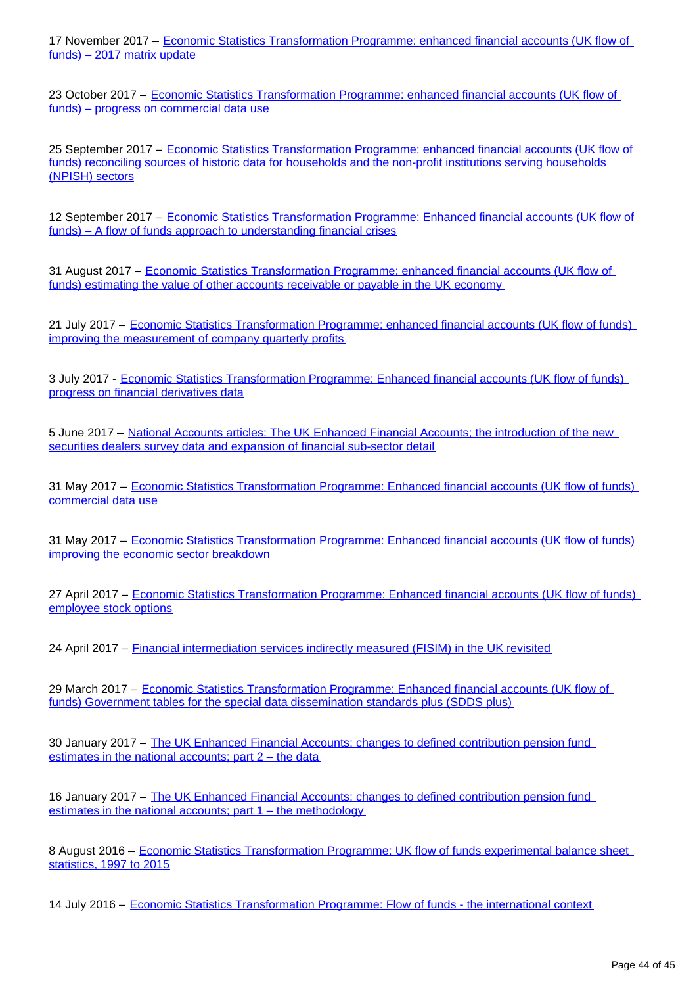17 November 2017 – [Economic Statistics Transformation Programme: enhanced financial accounts \(UK flow of](https://www.ons.gov.uk/releases/economicstatisticstransformationprogrammeenhancedfinancialaccountsukflowoffundsexperimentalbalancesheetstatistics1997to2016)  [funds\) – 2017 matrix update](https://www.ons.gov.uk/releases/economicstatisticstransformationprogrammeenhancedfinancialaccountsukflowoffundsexperimentalbalancesheetstatistics1997to2016)

23 October 2017 – [Economic Statistics Transformation Programme: enhanced financial accounts \(UK flow of](https://www.ons.gov.uk/economy/nationalaccounts/uksectoraccounts/articles/economicstatisticstransformationprogramme/enhancedfinancialaccountsukflowoffundsprogressoncommercialdatause)  [funds\) – progress on commercial data use](https://www.ons.gov.uk/economy/nationalaccounts/uksectoraccounts/articles/economicstatisticstransformationprogramme/enhancedfinancialaccountsukflowoffundsprogressoncommercialdatause)

25 September 2017 – [Economic Statistics Transformation Programme: enhanced financial accounts \(UK flow of](https://www.ons.gov.uk/releases/economicstatisticstransformationprogrammeenhancedfinancialaccountsukflowoffundsreconcilingsourcesofhistoricdataforthehouseholdsandthenonprofitinstitutionsservinghouseholdsnpishsectors)  [funds\) reconciling sources of historic data for households and the non-profit institutions serving households](https://www.ons.gov.uk/releases/economicstatisticstransformationprogrammeenhancedfinancialaccountsukflowoffundsreconcilingsourcesofhistoricdataforthehouseholdsandthenonprofitinstitutionsservinghouseholdsnpishsectors)  [\(NPISH\) sectors](https://www.ons.gov.uk/releases/economicstatisticstransformationprogrammeenhancedfinancialaccountsukflowoffundsreconcilingsourcesofhistoricdataforthehouseholdsandthenonprofitinstitutionsservinghouseholdsnpishsectors)

12 September 2017 – Economic Statistics Transformation Programme: Enhanced financial accounts (UK flow of [funds\) – A flow of funds approach to understanding financial crises](https://www.ons.gov.uk/economy/nationalaccounts/uksectoraccounts/articles/economicstatisticstransformationprogramme/enhancedfinancialaccountsukflowoffundsaflowoffundsapproachtounderstandingfinancialcrises)

31 August 2017 – [Economic Statistics Transformation Programme: enhanced financial accounts \(UK flow of](https://www.ons.gov.uk/economy/nationalaccounts/uksectoraccounts/articles/economicstatisticstransformationprogramme/enhancedfinancialaccountsukflowoffundsestimatingthevalueofotheraccountsreceivableorpayableintheukeconomy)  [funds\) estimating the value of other accounts receivable or payable in the UK economy](https://www.ons.gov.uk/economy/nationalaccounts/uksectoraccounts/articles/economicstatisticstransformationprogramme/enhancedfinancialaccountsukflowoffundsestimatingthevalueofotheraccountsreceivableorpayableintheukeconomy)

21 July 2017 – [Economic Statistics Transformation Programme: enhanced financial accounts \(UK flow of funds\)](https://www.ons.gov.uk/economy/nationalaccounts/uksectoraccounts/articles/economicstatisticstransformationprogramme/enhancedfinancialaccountsukflowoffundsimprovingthemeasurementofcompanyquarterlyprofit)  [improving the measurement of company quarterly profits](https://www.ons.gov.uk/economy/nationalaccounts/uksectoraccounts/articles/economicstatisticstransformationprogramme/enhancedfinancialaccountsukflowoffundsimprovingthemeasurementofcompanyquarterlyprofit)

3 July 2017 - [Economic Statistics Transformation Programme: Enhanced financial accounts \(UK flow of funds\)](https://www.ons.gov.uk/economy/nationalaccounts/uksectoraccounts/articles/economicstatisticstransformationprogramme/enhancedfinancialaccountsukflowoffundsprogressonfinancialderivativesdata)  [progress on financial derivatives data](https://www.ons.gov.uk/economy/nationalaccounts/uksectoraccounts/articles/economicstatisticstransformationprogramme/enhancedfinancialaccountsukflowoffundsprogressonfinancialderivativesdata)

5 June 2017 – [National Accounts articles: The UK Enhanced Financial Accounts; the introduction of the new](https://www.ons.gov.uk/economy/nationalaccounts/uksectoraccounts/articles/nationalaccountsarticles/theukenhancedfinancialaccountstheintroductionofthenewsecuritiesdealerssurveydataandexpansionoffinancialsubsectordetail)  [securities dealers survey data and expansion of financial sub-sector detail](https://www.ons.gov.uk/economy/nationalaccounts/uksectoraccounts/articles/nationalaccountsarticles/theukenhancedfinancialaccountstheintroductionofthenewsecuritiesdealerssurveydataandexpansionoffinancialsubsectordetail)

31 May 2017 – Economic Statistics Transformation Programme: Enhanced financial accounts (UK flow of funds) [commercial data use](https://www.ons.gov.uk/economy/nationalaccounts/uksectoraccounts/articles/economicstatisticstransformationprogramme/enhancedfinancialaccountsukflowoffundsplansforcommercialdatause)

31 May 2017 – Economic Statistics Transformation Programme: Enhanced financial accounts (UK flow of funds) [improving the economic sector breakdown](https://www.ons.gov.uk/economy/nationalaccounts/uksectoraccounts/articles/economicstatisticstransformationprogramme/enhancedfinancialaccountsukflowoffundsimprovingtheeconomicsectorbreakdown)

27 April 2017 – [Economic Statistics Transformation Programme: Enhanced financial accounts \(UK flow of funds\)](https://www.ons.gov.uk/economy/nationalaccounts/uksectoraccounts/articles/economicstatisticstransformationprogramme/enhancedfinancialaccountsukflowoffundsemployeestockoptions)  [employee stock options](https://www.ons.gov.uk/economy/nationalaccounts/uksectoraccounts/articles/economicstatisticstransformationprogramme/enhancedfinancialaccountsukflowoffundsemployeestockoptions)

24 April 2017 – [Financial intermediation services indirectly measured \(FISIM\) in the UK revisited](https://www.ons.gov.uk/economy/grossdomesticproductgdp/articles/financialintermediationservicesindirectlymeasuredfisimintheukrevisited/2017-04-24)

29 March 2017 – Economic Statistics Transformation Programme: Enhanced financial accounts (UK flow of [funds\) Government tables for the special data dissemination standards plus \(SDDS plus\)](https://www.ons.gov.uk/economy/nationalaccounts/uksectoraccounts/articles/economicstatisticstransformationprogramme/enhancedfinancialaccountsukflowoffundsgovernmenttablesforthespecialdatadisseminationstandardsplussdds)

30 January 2017 – [The UK Enhanced Financial Accounts: changes to defined contribution pension fund](https://www.ons.gov.uk/economy/nationalaccounts/uksectoraccounts/methodologies/theukenhancedfinancialaccountschangestodefinedcontributionpensionfundestimatesinthenationalaccountspart2thedata)  [estimates in the national accounts; part 2 – the data](https://www.ons.gov.uk/economy/nationalaccounts/uksectoraccounts/methodologies/theukenhancedfinancialaccountschangestodefinedcontributionpensionfundestimatesinthenationalaccountspart2thedata)

16 January 2017 – [The UK Enhanced Financial Accounts: changes to defined contribution pension fund](https://www.ons.gov.uk/economy/nationalaccounts/uksectoraccounts/methodologies/theukenhancedfinancialaccountschangestodefinedcontributionpensionfundestimatesinthenationalaccountspart1themethods)  [estimates in the national accounts; part 1 – the methodology](https://www.ons.gov.uk/economy/nationalaccounts/uksectoraccounts/methodologies/theukenhancedfinancialaccountschangestodefinedcontributionpensionfundestimatesinthenationalaccountspart1themethods)

8 August 2016 – [Economic Statistics Transformation Programme: UK flow of funds experimental balance sheet](https://www.ons.gov.uk/economy/nationalaccounts/uksectoraccounts/articles/economicstatisticstransformationprogramme/ukflowoffundsexperimentalbalancesheetstatistics1997to2015)  [statistics, 1997 to 2015](https://www.ons.gov.uk/economy/nationalaccounts/uksectoraccounts/articles/economicstatisticstransformationprogramme/ukflowoffundsexperimentalbalancesheetstatistics1997to2015)

14 July 2016 – [Economic Statistics Transformation Programme: Flow of funds - the international context](https://www.ons.gov.uk/economy/nationalaccounts/uksectoraccounts/articles/economicstatisticstransformationprogramme/flowoffundstheinternationalcontext)